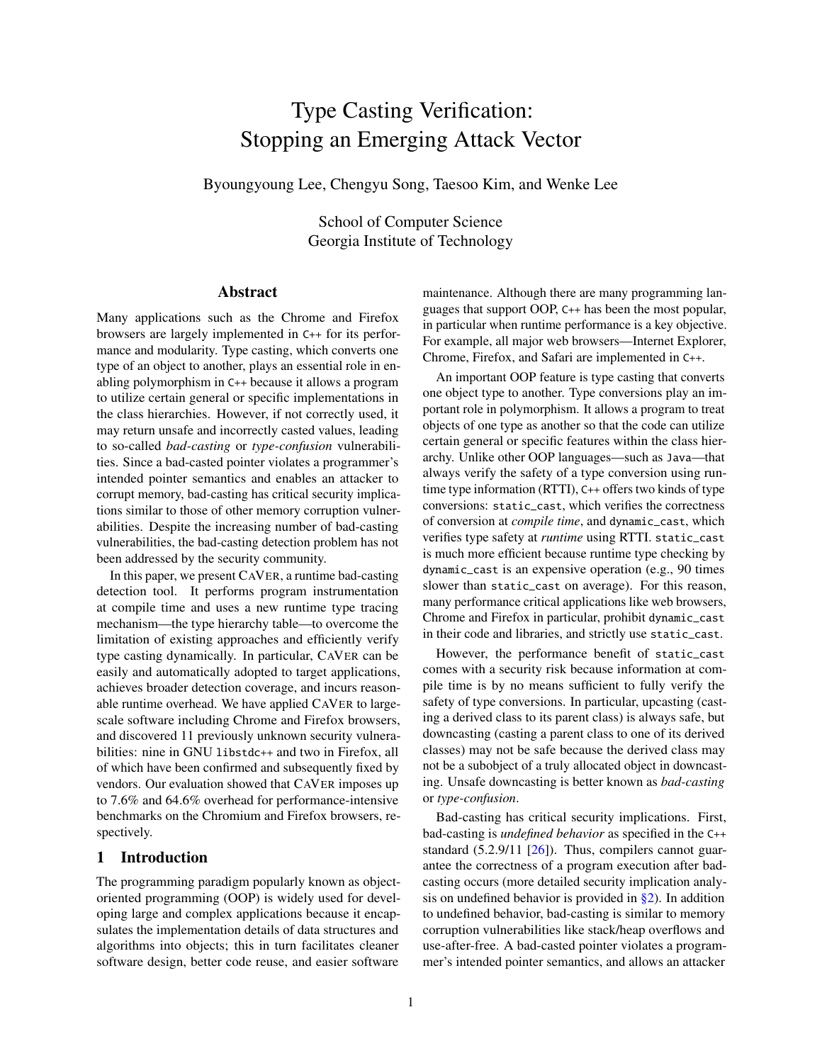# Type Casting Verification: Stopping an Emerging Attack Vector

Byoungyoung Lee, Chengyu Song, Taesoo Kim, and Wenke Lee

School of Computer Science Georgia Institute of Technology

# Abstract

Many applications such as the Chrome and Firefox browsers are largely implemented in C++ for its performance and modularity. Type casting, which converts one type of an object to another, plays an essential role in enabling polymorphism in C++ because it allows a program to utilize certain general or specific implementations in the class hierarchies. However, if not correctly used, it may return unsafe and incorrectly casted values, leading to so-called *bad-casting* or *type-confusion* vulnerabilities. Since a bad-casted pointer violates a programmer's intended pointer semantics and enables an attacker to corrupt memory, bad-casting has critical security implications similar to those of other memory corruption vulnerabilities. Despite the increasing number of bad-casting vulnerabilities, the bad-casting detection problem has not been addressed by the security community.

In this paper, we present CAVER, a runtime bad-casting detection tool. It performs program instrumentation at compile time and uses a new runtime type tracing mechanism—the type hierarchy table—to overcome the limitation of existing approaches and efficiently verify type casting dynamically. In particular, CAVER can be easily and automatically adopted to target applications, achieves broader detection coverage, and incurs reasonable runtime overhead. We have applied CAVER to largescale software including Chrome and Firefox browsers, and discovered 11 previously unknown security vulnerabilities: nine in GNU libstdc++ and two in Firefox, all of which have been confirmed and subsequently fixed by vendors. Our evaluation showed that CAVER imposes up to 7.6% and 64.6% overhead for performance-intensive benchmarks on the Chromium and Firefox browsers, respectively.

# 1 Introduction

The programming paradigm popularly known as objectoriented programming (OOP) is widely used for developing large and complex applications because it encapsulates the implementation details of data structures and algorithms into objects; this in turn facilitates cleaner software design, better code reuse, and easier software

maintenance. Although there are many programming languages that support OOP, C++ has been the most popular, in particular when runtime performance is a key objective. For example, all major web browsers—Internet Explorer, Chrome, Firefox, and Safari are implemented in C++.

An important OOP feature is type casting that converts one object type to another. Type conversions play an important role in polymorphism. It allows a program to treat objects of one type as another so that the code can utilize certain general or specific features within the class hierarchy. Unlike other OOP languages—such as Java—that always verify the safety of a type conversion using runtime type information (RTTI), C++ offers two kinds of type conversions: static\_cast, which verifies the correctness of conversion at *compile time*, and dynamic\_cast, which verifies type safety at *runtime* using RTTI. static\_cast is much more efficient because runtime type checking by dynamic\_cast is an expensive operation (e.g., 90 times slower than static\_cast on average). For this reason, many performance critical applications like web browsers, Chrome and Firefox in particular, prohibit dynamic\_cast in their code and libraries, and strictly use static\_cast.

However, the performance benefit of static\_cast comes with a security risk because information at compile time is by no means sufficient to fully verify the safety of type conversions. In particular, upcasting (casting a derived class to its parent class) is always safe, but downcasting (casting a parent class to one of its derived classes) may not be safe because the derived class may not be a subobject of a truly allocated object in downcasting. Unsafe downcasting is better known as *bad-casting* or *type-confusion*.

Bad-casting has critical security implications. First, bad-casting is *undefined behavior* as specified in the C++ standard  $(5.2.9/11 \, \lceil 26 \rceil)$ . Thus, compilers cannot guarantee the correctness of a program execution after badcasting occurs (more detailed security implication analysis on undefined behavior is provided in  $\S$ 2). In addition to undefined behavior, bad-casting is similar to memory corruption vulnerabilities like stack/heap overflows and use-after-free. A bad-casted pointer violates a programmer's intended pointer semantics, and allows an attacker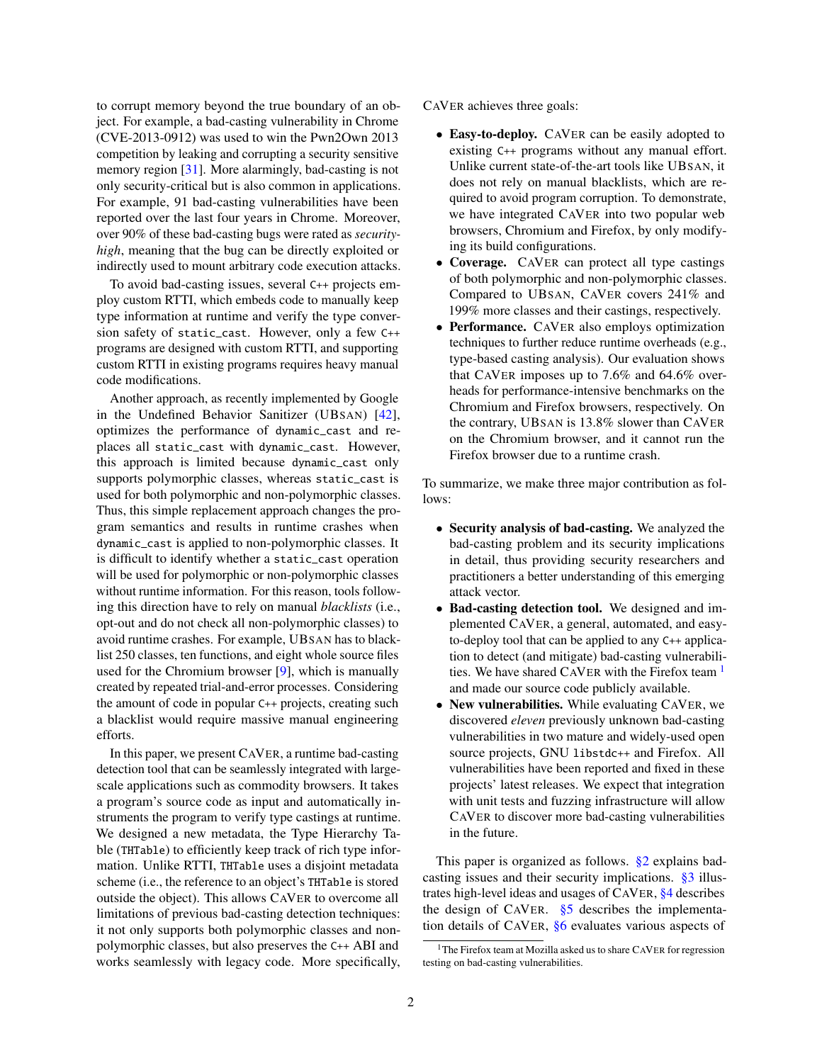to corrupt memory beyond the true boundary of an object. For example, a bad-casting vulnerability in Chrome (CVE-2013-0912) was used to win the Pwn2Own 2013 competition by leaking and corrupting a security sensitive memory region [\[31\]](#page-14-1). More alarmingly, bad-casting is not only security-critical but is also common in applications. For example, 91 bad-casting vulnerabilities have been reported over the last four years in Chrome. Moreover, over 90% of these bad-casting bugs were rated as *securityhigh*, meaning that the bug can be directly exploited or indirectly used to mount arbitrary code execution attacks.

To avoid bad-casting issues, several C++ projects employ custom RTTI, which embeds code to manually keep type information at runtime and verify the type conversion safety of static\_cast. However, only a few C++ programs are designed with custom RTTI, and supporting custom RTTI in existing programs requires heavy manual code modifications.

Another approach, as recently implemented by Google in the Undefined Behavior Sanitizer (UBSAN) [\[42\]](#page-14-2), optimizes the performance of dynamic\_cast and replaces all static\_cast with dynamic\_cast. However, this approach is limited because dynamic\_cast only supports polymorphic classes, whereas static\_cast is used for both polymorphic and non-polymorphic classes. Thus, this simple replacement approach changes the program semantics and results in runtime crashes when dynamic\_cast is applied to non-polymorphic classes. It is difficult to identify whether a static\_cast operation will be used for polymorphic or non-polymorphic classes without runtime information. For this reason, tools following this direction have to rely on manual *blacklists* (i.e., opt-out and do not check all non-polymorphic classes) to avoid runtime crashes. For example, UBSAN has to blacklist 250 classes, ten functions, and eight whole source files used for the Chromium browser [\[9\]](#page-13-0), which is manually created by repeated trial-and-error processes. Considering the amount of code in popular C++ projects, creating such a blacklist would require massive manual engineering efforts.

In this paper, we present CAVER, a runtime bad-casting detection tool that can be seamlessly integrated with largescale applications such as commodity browsers. It takes a program's source code as input and automatically instruments the program to verify type castings at runtime. We designed a new metadata, the Type Hierarchy Table (THTable) to efficiently keep track of rich type information. Unlike RTTI, THTable uses a disjoint metadata scheme (i.e., the reference to an object's THTable is stored outside the object). This allows CAVER to overcome all limitations of previous bad-casting detection techniques: it not only supports both polymorphic classes and nonpolymorphic classes, but also preserves the C++ ABI and works seamlessly with legacy code. More specifically,

CAVER achieves three goals:

- Easy-to-deploy. CAVER can be easily adopted to existing C++ programs without any manual effort. Unlike current state-of-the-art tools like UBSAN, it does not rely on manual blacklists, which are required to avoid program corruption. To demonstrate, we have integrated CAVER into two popular web browsers, Chromium and Firefox, by only modifying its build configurations.
- Coverage. CAVER can protect all type castings of both polymorphic and non-polymorphic classes. Compared to UBSAN, CAVER covers 241% and 199% more classes and their castings, respectively.
- Performance. CAVER also employs optimization techniques to further reduce runtime overheads (e.g., type-based casting analysis). Our evaluation shows that CAVER imposes up to 7.6% and 64.6% overheads for performance-intensive benchmarks on the Chromium and Firefox browsers, respectively. On the contrary, UBSAN is 13.8% slower than CAVER on the Chromium browser, and it cannot run the Firefox browser due to a runtime crash.

To summarize, we make three major contribution as follows:

- Security analysis of bad-casting. We analyzed the bad-casting problem and its security implications in detail, thus providing security researchers and practitioners a better understanding of this emerging attack vector.
- Bad-casting detection tool. We designed and implemented CAVER, a general, automated, and easyto-deploy tool that can be applied to any C++ application to detect (and mitigate) bad-casting vulnerabilities. We have shared CAVER with the Firefox team  $<sup>1</sup>$  $<sup>1</sup>$  $<sup>1</sup>$ </sup> and made our source code publicly available.
- New vulnerabilities. While evaluating CAVER, we discovered *eleven* previously unknown bad-casting vulnerabilities in two mature and widely-used open source projects, GNU libstdc++ and Firefox. All vulnerabilities have been reported and fixed in these projects' latest releases. We expect that integration with unit tests and fuzzing infrastructure will allow CAVER to discover more bad-casting vulnerabilities in the future.

This paper is organized as follows. [§2](#page-2-0) explains badcasting issues and their security implications. [§3](#page-3-0) illustrates high-level ideas and usages of CAVER, [§4](#page-4-0) describes the design of CAVER. [§5](#page-7-0) describes the implementation details of CAVER, [§6](#page-7-1) evaluates various aspects of

<span id="page-1-0"></span><sup>&</sup>lt;sup>1</sup>The Firefox team at Mozilla asked us to share CAVER for regression testing on bad-casting vulnerabilities.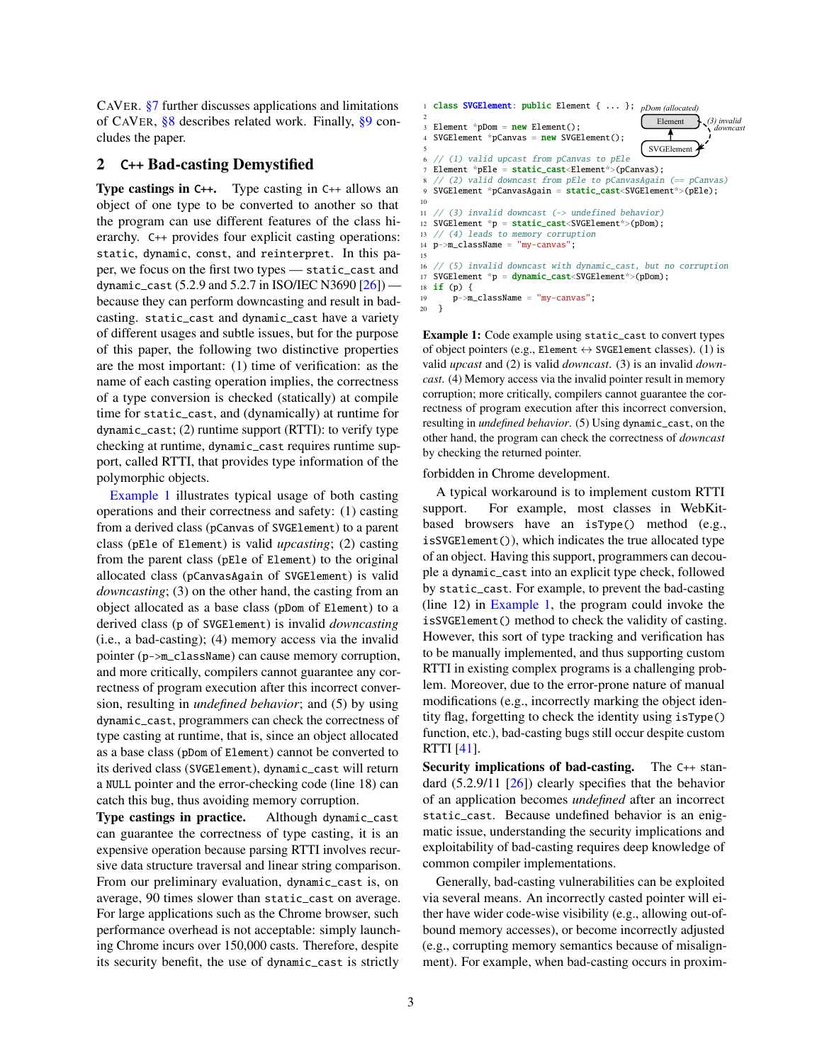CAVER. [§7](#page-11-0) further discusses applications and limitations of CAVER, [§8](#page-12-0) describes related work. Finally, [§9](#page-13-1) concludes the paper.

# <span id="page-2-0"></span>2 C++ Bad-casting Demystified

Type castings in C++. Type casting in C++ allows an object of one type to be converted to another so that the program can use different features of the class hierarchy. C++ provides four explicit casting operations: static, dynamic, const, and reinterpret. In this paper, we focus on the first two types — static\_cast and dynamic\_cast (5.2.9 and 5.2.7 in ISO/IEC N3690 [\[26\]](#page-14-0)) because they can perform downcasting and result in badcasting. static\_cast and dynamic\_cast have a variety of different usages and subtle issues, but for the purpose of this paper, the following two distinctive properties are the most important: (1) time of verification: as the name of each casting operation implies, the correctness of a type conversion is checked (statically) at compile time for static\_cast, and (dynamically) at runtime for dynamic\_cast; (2) runtime support (RTTI): to verify type checking at runtime, dynamic\_cast requires runtime support, called RTTI, that provides type information of the polymorphic objects.

[Example 1](#page-2-1) illustrates typical usage of both casting operations and their correctness and safety: (1) casting from a derived class (pCanvas of SVGElement) to a parent class (pEle of Element) is valid *upcasting*; (2) casting from the parent class (pEle of Element) to the original allocated class (pCanvasAgain of SVGElement) is valid *downcasting*; (3) on the other hand, the casting from an object allocated as a base class (pDom of Element) to a derived class (p of SVGElement) is invalid *downcasting* (i.e., a bad-casting); (4) memory access via the invalid pointer (p->m\_className) can cause memory corruption, and more critically, compilers cannot guarantee any correctness of program execution after this incorrect conversion, resulting in *undefined behavior*; and (5) by using dynamic\_cast, programmers can check the correctness of type casting at runtime, that is, since an object allocated as a base class (pDom of Element) cannot be converted to its derived class (SVGElement), dynamic\_cast will return a NULL pointer and the error-checking code (line 18) can catch this bug, thus avoiding memory corruption.

Type castings in practice. Although dynamic\_cast can guarantee the correctness of type casting, it is an expensive operation because parsing RTTI involves recursive data structure traversal and linear string comparison. From our preliminary evaluation, dynamic\_cast is, on average, 90 times slower than static\_cast on average. For large applications such as the Chrome browser, such performance overhead is not acceptable: simply launching Chrome incurs over 150,000 casts. Therefore, despite its security benefit, the use of dynamic\_cast is strictly

```
SVGElement
                                                    Element 1. (3) invalid
                                                                  downcast
p class SVGElement: public Element { ... }; pDom (allocated)
 2
3 Element *pDom = new Element();
  SVGElement *pCanvas = new SVGElement();
 5
  6 // (1) valid upcast from pCanvas to pEle
  Element *pEle = static_cast<Element*>(pCanvas);
  8 // (2) valid downcast from pEle to pCanvasAgain (== pCanvas)
  SVGElement *pCanvasAgain = static_cast<SVGElement*>(pEle);
10
11 // (3) invalid downcast (-> undefined behavior)
12 SVGElement *p = static_cast<SVGElement*>(pDom);<br>13 // (4) leads to memory corruption
  // (4) leads to memory corruption
14 p->m_className = "my-canvas";
15
16 // (5) invalid downcast with dynamic_cast, but no corruption
17 SVGElement *p = dynamic_cast<SVGElement*>(pDom);
18 if (p) {
19 p->m_className = "my-canvas";
20 }
```
Example 1: Code example using static\_cast to convert types of object pointers (e.g., Element  $\leftrightarrow$  SVGElement classes). (1) is valid *upcast* and (2) is valid *downcast*. (3) is an invalid *downcast*. (4) Memory access via the invalid pointer result in memory corruption; more critically, compilers cannot guarantee the correctness of program execution after this incorrect conversion, resulting in *undefined behavior*. (5) Using dynamic\_cast, on the other hand, the program can check the correctness of *downcast* by checking the returned pointer.

forbidden in Chrome development.

A typical workaround is to implement custom RTTI support. For example, most classes in WebKitbased browsers have an isType() method (e.g., isSVGElement()), which indicates the true allocated type of an object. Having this support, programmers can decouple a dynamic\_cast into an explicit type check, followed by static\_cast. For example, to prevent the bad-casting (line 12) in [Example 1,](#page-2-1) the program could invoke the isSVGElement() method to check the validity of casting. However, this sort of type tracking and verification has to be manually implemented, and thus supporting custom RTTI in existing complex programs is a challenging problem. Moreover, due to the error-prone nature of manual modifications (e.g., incorrectly marking the object identity flag, forgetting to check the identity using isType() function, etc.), bad-casting bugs still occur despite custom RTTI [\[41\]](#page-14-3).

Security implications of bad-casting. The C++ standard (5.2.9/11 [\[26\]](#page-14-0)) clearly specifies that the behavior of an application becomes *undefined* after an incorrect static\_cast. Because undefined behavior is an enigmatic issue, understanding the security implications and exploitability of bad-casting requires deep knowledge of common compiler implementations.

Generally, bad-casting vulnerabilities can be exploited via several means. An incorrectly casted pointer will either have wider code-wise visibility (e.g., allowing out-ofbound memory accesses), or become incorrectly adjusted (e.g., corrupting memory semantics because of misalignment). For example, when bad-casting occurs in proxim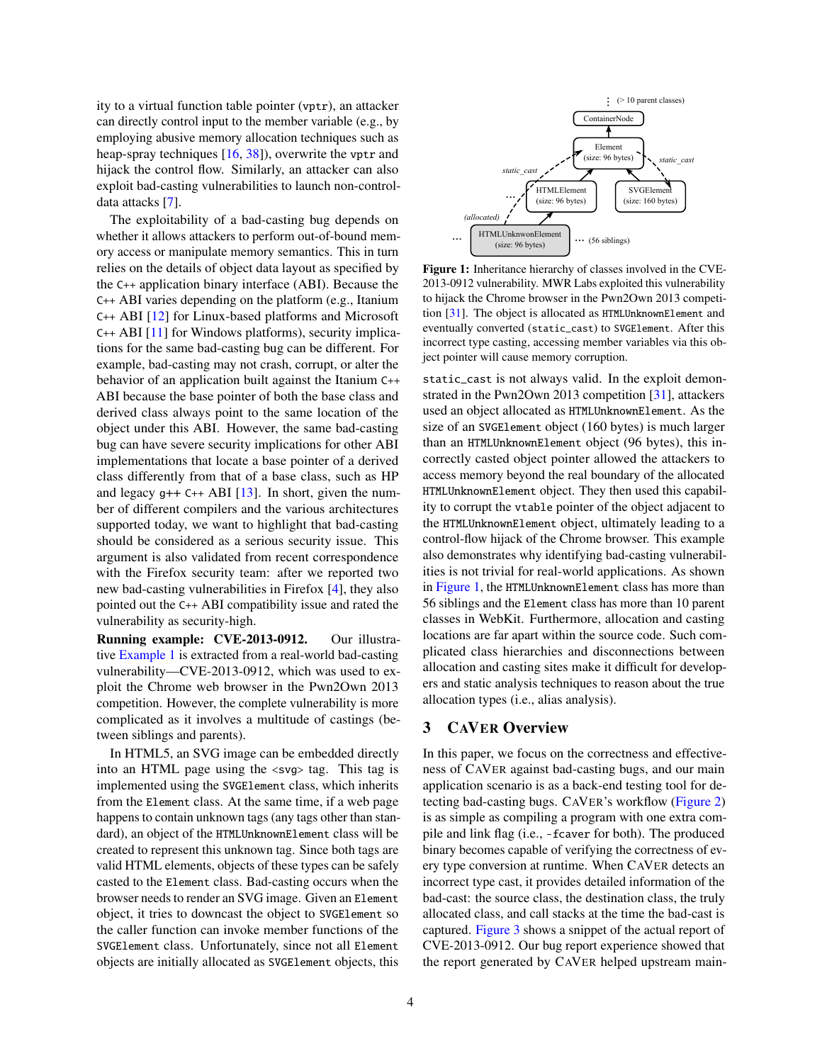ity to a virtual function table pointer (vptr), an attacker can directly control input to the member variable (e.g., by employing abusive memory allocation techniques such as heap-spray techniques [\[16,](#page-13-2) [38\]](#page-14-4)), overwrite the vptr and hijack the control flow. Similarly, an attacker can also exploit bad-casting vulnerabilities to launch non-controldata attacks [\[7\]](#page-13-3).

The exploitability of a bad-casting bug depends on whether it allows attackers to perform out-of-bound memory access or manipulate memory semantics. This in turn relies on the details of object data layout as specified by the C++ application binary interface (ABI). Because the C++ ABI varies depending on the platform (e.g., Itanium C++ ABI [\[12\]](#page-13-4) for Linux-based platforms and Microsoft C++ ABI [\[11\]](#page-13-5) for Windows platforms), security implications for the same bad-casting bug can be different. For example, bad-casting may not crash, corrupt, or alter the behavior of an application built against the Itanium C++ ABI because the base pointer of both the base class and derived class always point to the same location of the object under this ABI. However, the same bad-casting bug can have severe security implications for other ABI implementations that locate a base pointer of a derived class differently from that of a base class, such as HP and legacy  $g++ C++ ABI [13]$  $g++ C++ ABI [13]$ . In short, given the number of different compilers and the various architectures supported today, we want to highlight that bad-casting should be considered as a serious security issue. This argument is also validated from recent correspondence with the Firefox security team: after we reported two new bad-casting vulnerabilities in Firefox [\[4\]](#page-13-7), they also pointed out the C++ ABI compatibility issue and rated the vulnerability as security-high.

Running example: CVE-2013-0912. Our illustrative [Example 1](#page-2-1) is extracted from a real-world bad-casting vulnerability—CVE-2013-0912, which was used to exploit the Chrome web browser in the Pwn2Own 2013 competition. However, the complete vulnerability is more complicated as it involves a multitude of castings (between siblings and parents).

In HTML5, an SVG image can be embedded directly into an HTML page using the <svg> tag. This tag is implemented using the SVGElement class, which inherits from the Element class. At the same time, if a web page happens to contain unknown tags (any tags other than standard), an object of the HTMLUnknownElement class will be created to represent this unknown tag. Since both tags are valid HTML elements, objects of these types can be safely casted to the Element class. Bad-casting occurs when the browser needs to render an SVG image. Given an Element object, it tries to downcast the object to SVGElement so the caller function can invoke member functions of the SVGElement class. Unfortunately, since not all Element objects are initially allocated as SVGElement objects, this

<span id="page-3-1"></span>

Figure 1: Inheritance hierarchy of classes involved in the CVE-2013-0912 vulnerability. MWR Labs exploited this vulnerability to hijack the Chrome browser in the Pwn2Own 2013 competition [\[31\]](#page-14-1). The object is allocated as HTMLUnknownElement and eventually converted (static\_cast) to SVGElement. After this incorrect type casting, accessing member variables via this object pointer will cause memory corruption.

static\_cast is not always valid. In the exploit demonstrated in the Pwn2Own 2013 competition [\[31\]](#page-14-1), attackers used an object allocated as HTMLUnknownElement. As the size of an SVGElement object (160 bytes) is much larger than an HTMLUnknownElement object (96 bytes), this incorrectly casted object pointer allowed the attackers to access memory beyond the real boundary of the allocated HTMLUnknownElement object. They then used this capability to corrupt the vtable pointer of the object adjacent to the HTMLUnknownElement object, ultimately leading to a control-flow hijack of the Chrome browser. This example also demonstrates why identifying bad-casting vulnerabilities is not trivial for real-world applications. As shown in [Figure 1,](#page-3-1) the HTMLUnknownElement class has more than 56 siblings and the Element class has more than 10 parent classes in WebKit. Furthermore, allocation and casting locations are far apart within the source code. Such complicated class hierarchies and disconnections between allocation and casting sites make it difficult for developers and static analysis techniques to reason about the true allocation types (i.e., alias analysis).

# <span id="page-3-0"></span>3 CAVER Overview

In this paper, we focus on the correctness and effectiveness of CAVER against bad-casting bugs, and our main application scenario is as a back-end testing tool for detecting bad-casting bugs. CAVER's workflow [\(Figure 2\)](#page-4-1) is as simple as compiling a program with one extra compile and link flag (i.e., -fcaver for both). The produced binary becomes capable of verifying the correctness of every type conversion at runtime. When CAVER detects an incorrect type cast, it provides detailed information of the bad-cast: the source class, the destination class, the truly allocated class, and call stacks at the time the bad-cast is captured. [Figure 3](#page-4-2) shows a snippet of the actual report of CVE-2013-0912. Our bug report experience showed that the report generated by CAVER helped upstream main-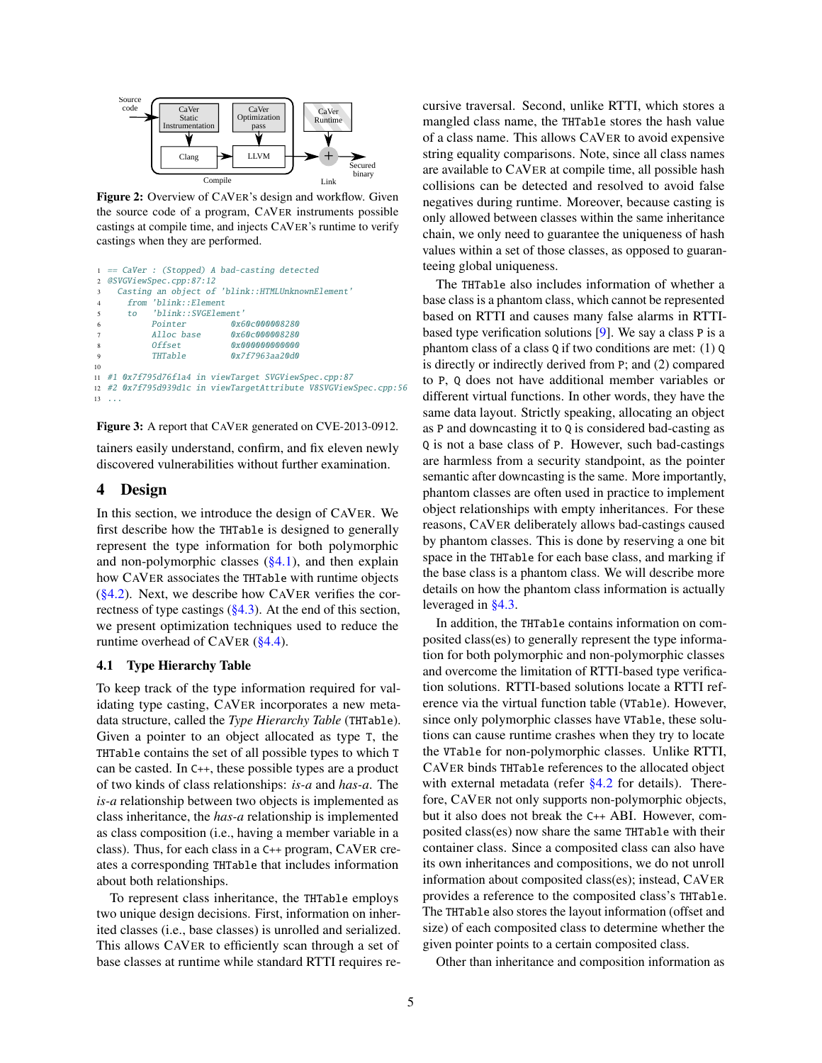<span id="page-4-1"></span>

Figure 2: Overview of CAVER's design and workflow. Given the source code of a program, CAVER instruments possible castings at compile time, and injects CAVER's runtime to verify castings when they are performed.

```
1 == CaVer : (Stopped) A bad-casting detected
2 @SVGViewSpec.cpp:87:12
    Casting an object of 'blink::HTMLUnknownElement
      from 'blink::Element
      5 to 'blink::SVGElement'
           Pointer 0x60c000008280
           Alloc base 0x60c000008280
           Offset 0x0000000000000
           THTable 0x7f7963aa20d0
10
11 #1 0x7f795d76f1a4 in viewTarget SVGViewSpec.cpp:87
12 #2 0x7f795d939d1c in viewTargetAttribute V8SVGViewSpec.cpp:56
13 \cdot . . .
```
Figure 3: A report that CAVER generated on CVE-2013-0912.

tainers easily understand, confirm, and fix eleven newly discovered vulnerabilities without further examination.

# <span id="page-4-0"></span>4 Design

In this section, we introduce the design of CAVER. We first describe how the THTable is designed to generally represent the type information for both polymorphic and non-polymorphic classes  $(\S 4.1)$ , and then explain how CAVER associates the THTable with runtime objects  $(\S 4.2)$ . Next, we describe how CAVER verifies the correctness of type castings  $(\S 4.3)$ . At the end of this section, we present optimization techniques used to reduce the runtime overhead of CAVER [\(§4.4\)](#page-7-2).

### <span id="page-4-3"></span>4.1 Type Hierarchy Table

To keep track of the type information required for validating type casting, CAVER incorporates a new metadata structure, called the *Type Hierarchy Table* (THTable). Given a pointer to an object allocated as type T, the THTable contains the set of all possible types to which T can be casted. In C++, these possible types are a product of two kinds of class relationships: *is-a* and *has-a*. The *is-a* relationship between two objects is implemented as class inheritance, the *has-a* relationship is implemented as class composition (i.e., having a member variable in a class). Thus, for each class in a C++ program, CAVER creates a corresponding THTable that includes information about both relationships.

To represent class inheritance, the THTable employs two unique design decisions. First, information on inherited classes (i.e., base classes) is unrolled and serialized. This allows CAVER to efficiently scan through a set of base classes at runtime while standard RTTI requires recursive traversal. Second, unlike RTTI, which stores a mangled class name, the THTable stores the hash value of a class name. This allows CAVER to avoid expensive string equality comparisons. Note, since all class names are available to CAVER at compile time, all possible hash collisions can be detected and resolved to avoid false negatives during runtime. Moreover, because casting is only allowed between classes within the same inheritance chain, we only need to guarantee the uniqueness of hash values within a set of those classes, as opposed to guaranteeing global uniqueness.

The THTable also includes information of whether a base class is a phantom class, which cannot be represented based on RTTI and causes many false alarms in RTTIbased type verification solutions [\[9\]](#page-13-0). We say a class P is a phantom class of a class Q if two conditions are met: (1) Q is directly or indirectly derived from P; and (2) compared to P, Q does not have additional member variables or different virtual functions. In other words, they have the same data layout. Strictly speaking, allocating an object as P and downcasting it to Q is considered bad-casting as Q is not a base class of P. However, such bad-castings are harmless from a security standpoint, as the pointer semantic after downcasting is the same. More importantly, phantom classes are often used in practice to implement object relationships with empty inheritances. For these reasons, CAVER deliberately allows bad-castings caused by phantom classes. This is done by reserving a one bit space in the THTable for each base class, and marking if the base class is a phantom class. We will describe more details on how the phantom class information is actually leveraged in [§4.3.](#page-6-0)

In addition, the THTable contains information on composited class(es) to generally represent the type information for both polymorphic and non-polymorphic classes and overcome the limitation of RTTI-based type verification solutions. RTTI-based solutions locate a RTTI reference via the virtual function table (VTable). However, since only polymorphic classes have VTable, these solutions can cause runtime crashes when they try to locate the VTable for non-polymorphic classes. Unlike RTTI, CAVER binds THTable references to the allocated object with external metadata (refer [§4.2](#page-5-0) for details). Therefore, CAVER not only supports non-polymorphic objects, but it also does not break the C++ ABI. However, composited class(es) now share the same THTable with their container class. Since a composited class can also have its own inheritances and compositions, we do not unroll information about composited class(es); instead, CAVER provides a reference to the composited class's THTable. The THTable also stores the layout information (offset and size) of each composited class to determine whether the given pointer points to a certain composited class.

Other than inheritance and composition information as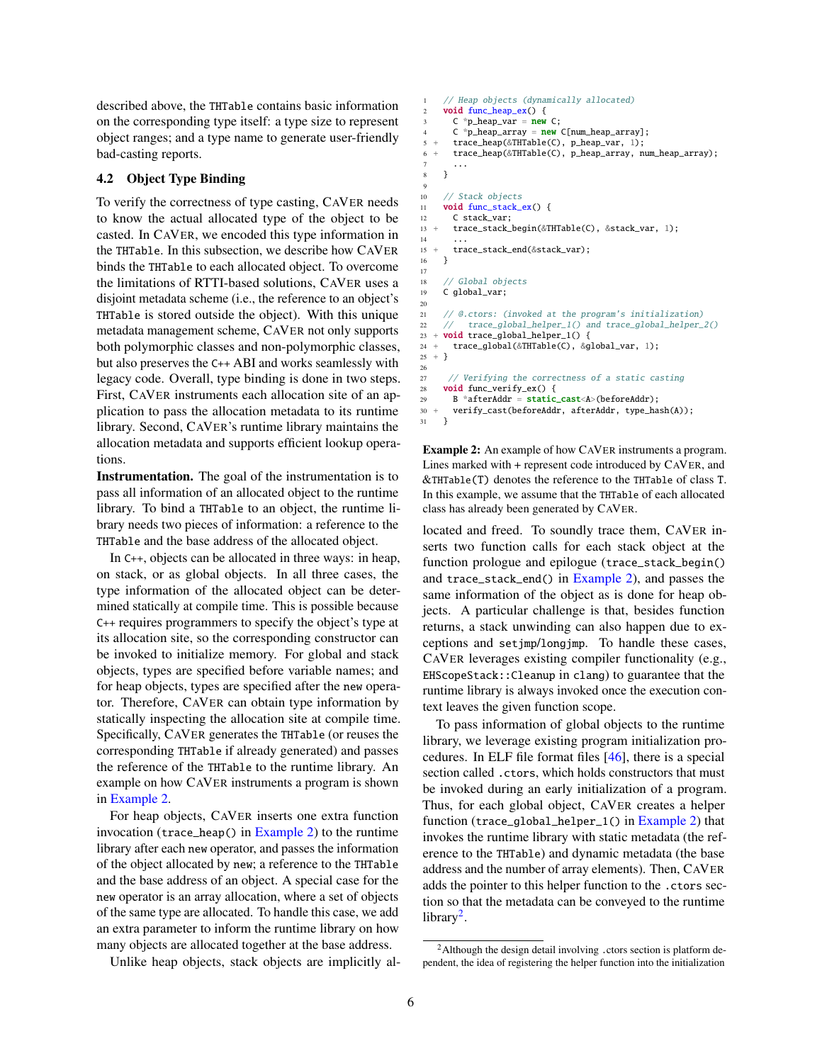described above, the THTable contains basic information on the corresponding type itself: a type size to represent object ranges; and a type name to generate user-friendly bad-casting reports.

# <span id="page-5-0"></span>4.2 Object Type Binding

To verify the correctness of type casting, CAVER needs to know the actual allocated type of the object to be casted. In CAVER, we encoded this type information in the THTable. In this subsection, we describe how CAVER binds the THTable to each allocated object. To overcome the limitations of RTTI-based solutions, CAVER uses a disjoint metadata scheme (i.e., the reference to an object's THTable is stored outside the object). With this unique metadata management scheme, CAVER not only supports both polymorphic classes and non-polymorphic classes, but also preserves the C++ ABI and works seamlessly with legacy code. Overall, type binding is done in two steps. First, CAVER instruments each allocation site of an application to pass the allocation metadata to its runtime library. Second, CAVER's runtime library maintains the allocation metadata and supports efficient lookup operations.

Instrumentation. The goal of the instrumentation is to pass all information of an allocated object to the runtime library. To bind a THTable to an object, the runtime library needs two pieces of information: a reference to the THTable and the base address of the allocated object.

In C++, objects can be allocated in three ways: in heap, on stack, or as global objects. In all three cases, the type information of the allocated object can be determined statically at compile time. This is possible because C++ requires programmers to specify the object's type at its allocation site, so the corresponding constructor can be invoked to initialize memory. For global and stack objects, types are specified before variable names; and for heap objects, types are specified after the new operator. Therefore, CAVER can obtain type information by statically inspecting the allocation site at compile time. Specifically, CAVER generates the THTable (or reuses the corresponding THTable if already generated) and passes the reference of the THTable to the runtime library. An example on how CAVER instruments a program is shown in [Example 2.](#page-5-1)

For heap objects, CAVER inserts one extra function invocation (trace\_heap() in [Example 2\)](#page-5-1) to the runtime library after each new operator, and passes the information of the object allocated by new; a reference to the THTable and the base address of an object. A special case for the new operator is an array allocation, where a set of objects of the same type are allocated. To handle this case, we add an extra parameter to inform the runtime library on how many objects are allocated together at the base address.

Unlike heap objects, stack objects are implicitly al-

```
// Heap objects (dynamically allocated)
     void func heap ex() {
 3       C *p_heap_var = <mark>new</mark> C;<br>4        C *p_heap_array = <mark>new</mark> C[num_heap_array];
5 + trace_heap(&THTable(C), p_heap_var, 1);
6 + trace_heap(&THTable(C), p_heap_array, num_heap_array);
 7 ...
8 }
\circ10 // Stack objects
11 void func_stack_ex() {
12 C stack var:
13 + trace_stack_begin(&THTable(C), &stack_var, 1);
14 ...
15 + trace_stack_end(&stack_var);
16 }
17
18 // Global objects
19 C global_var;
20
21 // @.ctors: (invoked at the program's initialization)
22 // trace_global_helper_1() and trace_global_helper_2()
23 + void trace_global_helper_1() {
24 + trace_global(&THTable(C), &global_var, 1);
25 + 326
27 // Verifying the correctness of a static casting<br>28 void func verify ex() {
     void func_verify_ex() {
29 B *afterAddr = static_cast<A>(beforeAddr);
30 + verify_cast(beforeAddr, afterAddr, type_hash(A));
31 }
```
Example 2: An example of how CAVER instruments a program. Lines marked with + represent code introduced by CAVER, and &THTable(T) denotes the reference to the THTable of class T. In this example, we assume that the THTable of each allocated class has already been generated by CAVER.

located and freed. To soundly trace them, CAVER inserts two function calls for each stack object at the function prologue and epilogue (trace\_stack\_begin() and trace\_stack\_end() in  $Example 2$ ), and passes the same information of the object as is done for heap objects. A particular challenge is that, besides function returns, a stack unwinding can also happen due to exceptions and setjmp/longjmp. To handle these cases, CAVER leverages existing compiler functionality (e.g., EHScopeStack::Cleanup in clang) to guarantee that the runtime library is always invoked once the execution context leaves the given function scope.

To pass information of global objects to the runtime library, we leverage existing program initialization procedures. In ELF file format files [\[46\]](#page-14-5), there is a special section called .ctors, which holds constructors that must be invoked during an early initialization of a program. Thus, for each global object, CAVER creates a helper function (trace\_global\_helper\_1() in [Example 2\)](#page-5-1) that invokes the runtime library with static metadata (the reference to the THTable) and dynamic metadata (the base address and the number of array elements). Then, CAVER adds the pointer to this helper function to the .ctors section so that the metadata can be conveyed to the runtime library<sup>[2](#page-5-2)</sup>.

<span id="page-5-2"></span><sup>&</sup>lt;sup>2</sup>Although the design detail involving .ctors section is platform dependent, the idea of registering the helper function into the initialization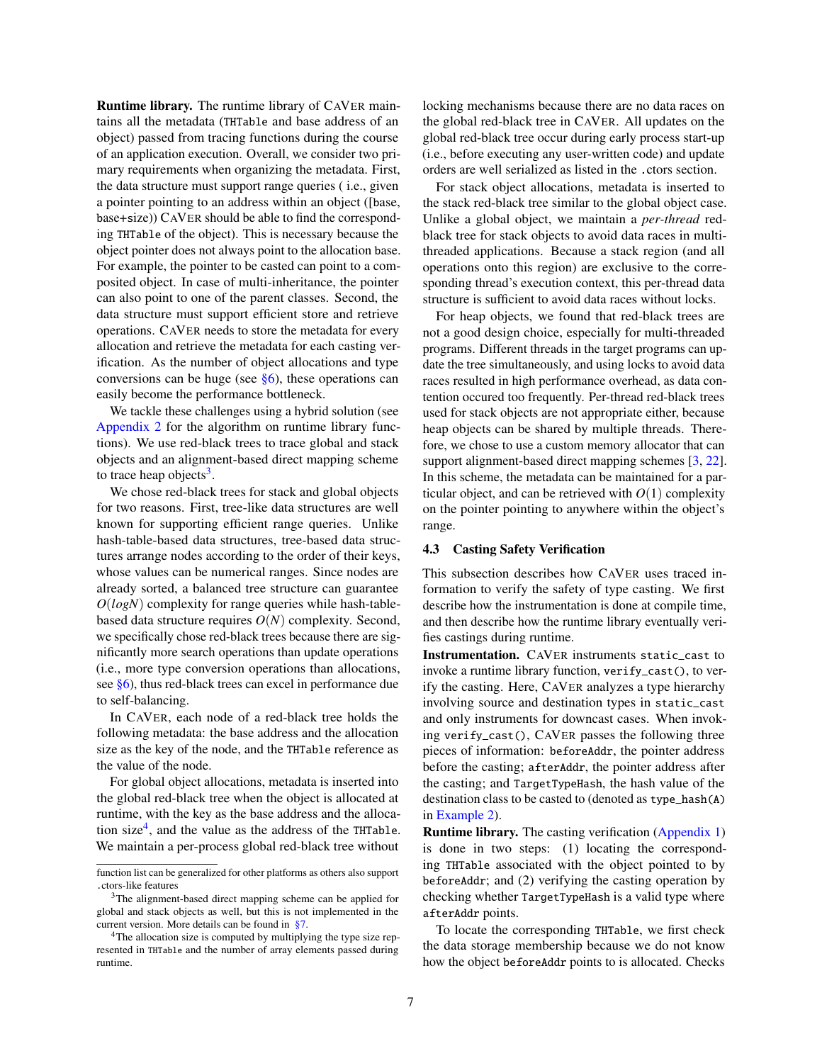Runtime library. The runtime library of CAVER maintains all the metadata (THTable and base address of an object) passed from tracing functions during the course of an application execution. Overall, we consider two primary requirements when organizing the metadata. First, the data structure must support range queries ( i.e., given a pointer pointing to an address within an object ([base, base+size)) CAVER should be able to find the corresponding THTable of the object). This is necessary because the object pointer does not always point to the allocation base. For example, the pointer to be casted can point to a composited object. In case of multi-inheritance, the pointer can also point to one of the parent classes. Second, the data structure must support efficient store and retrieve operations. CAVER needs to store the metadata for every allocation and retrieve the metadata for each casting verification. As the number of object allocations and type conversions can be huge (see  $\S6$ ), these operations can easily become the performance bottleneck.

We tackle these challenges using a hybrid solution (see [Appendix 2](#page-15-0) for the algorithm on runtime library functions). We use red-black trees to trace global and stack objects and an alignment-based direct mapping scheme to trace heap objects<sup>[3](#page-6-1)</sup>.

We chose red-black trees for stack and global objects for two reasons. First, tree-like data structures are well known for supporting efficient range queries. Unlike hash-table-based data structures, tree-based data structures arrange nodes according to the order of their keys, whose values can be numerical ranges. Since nodes are already sorted, a balanced tree structure can guarantee *O*(*logN*) complexity for range queries while hash-tablebased data structure requires *O*(*N*) complexity. Second, we specifically chose red-black trees because there are significantly more search operations than update operations (i.e., more type conversion operations than allocations, see [§6\)](#page-7-1), thus red-black trees can excel in performance due to self-balancing.

In CAVER, each node of a red-black tree holds the following metadata: the base address and the allocation size as the key of the node, and the THTable reference as the value of the node.

For global object allocations, metadata is inserted into the global red-black tree when the object is allocated at runtime, with the key as the base address and the alloca-tion size<sup>[4](#page-6-2)</sup>, and the value as the address of the THTable. We maintain a per-process global red-black tree without

locking mechanisms because there are no data races on the global red-black tree in CAVER. All updates on the global red-black tree occur during early process start-up (i.e., before executing any user-written code) and update orders are well serialized as listed in the .ctors section.

For stack object allocations, metadata is inserted to the stack red-black tree similar to the global object case. Unlike a global object, we maintain a *per-thread* redblack tree for stack objects to avoid data races in multithreaded applications. Because a stack region (and all operations onto this region) are exclusive to the corresponding thread's execution context, this per-thread data structure is sufficient to avoid data races without locks.

For heap objects, we found that red-black trees are not a good design choice, especially for multi-threaded programs. Different threads in the target programs can update the tree simultaneously, and using locks to avoid data races resulted in high performance overhead, as data contention occured too frequently. Per-thread red-black trees used for stack objects are not appropriate either, because heap objects can be shared by multiple threads. Therefore, we chose to use a custom memory allocator that can support alignment-based direct mapping schemes [\[3,](#page-13-8) [22\]](#page-14-6). In this scheme, the metadata can be maintained for a particular object, and can be retrieved with  $O(1)$  complexity on the pointer pointing to anywhere within the object's range.

#### <span id="page-6-0"></span>4.3 Casting Safety Verification

This subsection describes how CAVER uses traced information to verify the safety of type casting. We first describe how the instrumentation is done at compile time, and then describe how the runtime library eventually verifies castings during runtime.

Instrumentation. CAVER instruments static\_cast to invoke a runtime library function, verify\_cast(), to verify the casting. Here, CAVER analyzes a type hierarchy involving source and destination types in static\_cast and only instruments for downcast cases. When invoking verify\_cast(), CAVER passes the following three pieces of information: beforeAddr, the pointer address before the casting; afterAddr, the pointer address after the casting; and TargetTypeHash, the hash value of the destination class to be casted to (denoted as type\_hash(A) in [Example 2\)](#page-5-1).

Runtime library. The casting verification [\(Appendix 1\)](#page-15-1) is done in two steps: (1) locating the corresponding THTable associated with the object pointed to by beforeAddr; and (2) verifying the casting operation by checking whether TargetTypeHash is a valid type where afterAddr points.

To locate the corresponding THTable, we first check the data storage membership because we do not know how the object beforeAddr points to is allocated. Checks

function list can be generalized for other platforms as others also support .ctors-like features

<span id="page-6-1"></span><sup>&</sup>lt;sup>3</sup>The alignment-based direct mapping scheme can be applied for global and stack objects as well, but this is not implemented in the current version. More details can be found in [§7.](#page-11-0)

<span id="page-6-2"></span><sup>&</sup>lt;sup>4</sup>The allocation size is computed by multiplying the type size represented in THTable and the number of array elements passed during runtime.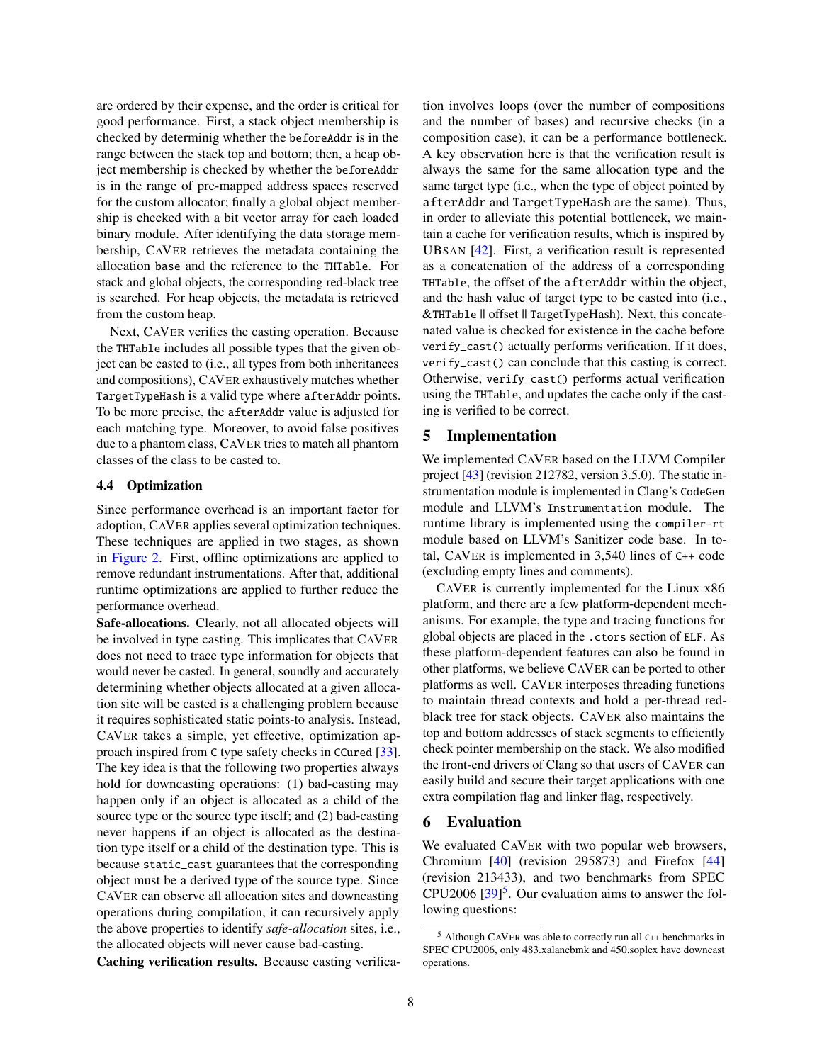are ordered by their expense, and the order is critical for good performance. First, a stack object membership is checked by determinig whether the beforeAddr is in the range between the stack top and bottom; then, a heap object membership is checked by whether the beforeAddr is in the range of pre-mapped address spaces reserved for the custom allocator; finally a global object membership is checked with a bit vector array for each loaded binary module. After identifying the data storage membership, CAVER retrieves the metadata containing the allocation base and the reference to the THTable. For stack and global objects, the corresponding red-black tree is searched. For heap objects, the metadata is retrieved from the custom heap.

Next, CAVER verifies the casting operation. Because the THTable includes all possible types that the given object can be casted to (i.e., all types from both inheritances and compositions), CAVER exhaustively matches whether TargetTypeHash is a valid type where afterAddr points. To be more precise, the afterAddr value is adjusted for each matching type. Moreover, to avoid false positives due to a phantom class, CAVER tries to match all phantom classes of the class to be casted to.

### <span id="page-7-2"></span>4.4 Optimization

Since performance overhead is an important factor for adoption, CAVER applies several optimization techniques. These techniques are applied in two stages, as shown in [Figure 2.](#page-4-1) First, offline optimizations are applied to remove redundant instrumentations. After that, additional runtime optimizations are applied to further reduce the performance overhead.

Safe-allocations. Clearly, not all allocated objects will be involved in type casting. This implicates that CAVER does not need to trace type information for objects that would never be casted. In general, soundly and accurately determining whether objects allocated at a given allocation site will be casted is a challenging problem because it requires sophisticated static points-to analysis. Instead, CAVER takes a simple, yet effective, optimization approach inspired from C type safety checks in CCured [\[33\]](#page-14-7). The key idea is that the following two properties always hold for downcasting operations: (1) bad-casting may happen only if an object is allocated as a child of the source type or the source type itself; and (2) bad-casting never happens if an object is allocated as the destination type itself or a child of the destination type. This is because static\_cast guarantees that the corresponding object must be a derived type of the source type. Since CAVER can observe all allocation sites and downcasting operations during compilation, it can recursively apply the above properties to identify *safe-allocation* sites, i.e., the allocated objects will never cause bad-casting.

Caching verification results. Because casting verifica-

tion involves loops (over the number of compositions and the number of bases) and recursive checks (in a composition case), it can be a performance bottleneck. A key observation here is that the verification result is always the same for the same allocation type and the same target type (i.e., when the type of object pointed by afterAddr and TargetTypeHash are the same). Thus, in order to alleviate this potential bottleneck, we maintain a cache for verification results, which is inspired by UBSAN [\[42\]](#page-14-2). First, a verification result is represented as a concatenation of the address of a corresponding THTable, the offset of the afterAddr within the object, and the hash value of target type to be casted into (i.e., &THTable || offset || TargetTypeHash). Next, this concatenated value is checked for existence in the cache before verify\_cast() actually performs verification. If it does, verify\_cast() can conclude that this casting is correct. Otherwise, verify\_cast() performs actual verification using the THTable, and updates the cache only if the casting is verified to be correct.

# <span id="page-7-0"></span>5 Implementation

We implemented CAVER based on the LLVM Compiler project [\[43\]](#page-14-8) (revision 212782, version 3.5.0). The static instrumentation module is implemented in Clang's CodeGen module and LLVM's Instrumentation module. The runtime library is implemented using the compiler-rt module based on LLVM's Sanitizer code base. In total, CAVER is implemented in 3,540 lines of C++ code (excluding empty lines and comments).

CAVER is currently implemented for the Linux x86 platform, and there are a few platform-dependent mechanisms. For example, the type and tracing functions for global objects are placed in the .ctors section of ELF. As these platform-dependent features can also be found in other platforms, we believe CAVER can be ported to other platforms as well. CAVER interposes threading functions to maintain thread contexts and hold a per-thread redblack tree for stack objects. CAVER also maintains the top and bottom addresses of stack segments to efficiently check pointer membership on the stack. We also modified the front-end drivers of Clang so that users of CAVER can easily build and secure their target applications with one extra compilation flag and linker flag, respectively.

# <span id="page-7-1"></span>6 Evaluation

We evaluated CAVER with two popular web browsers, Chromium [\[40\]](#page-14-9) (revision 295873) and Firefox [\[44\]](#page-14-10) (revision 213433), and two benchmarks from SPEC CPU2006  $[39]$ <sup>[5](#page-7-3)</sup>. Our evaluation aims to answer the following questions:

<span id="page-7-3"></span><sup>5</sup> Although CAVER was able to correctly run all C++ benchmarks in SPEC CPU2006, only 483.xalancbmk and 450.soplex have downcast operations.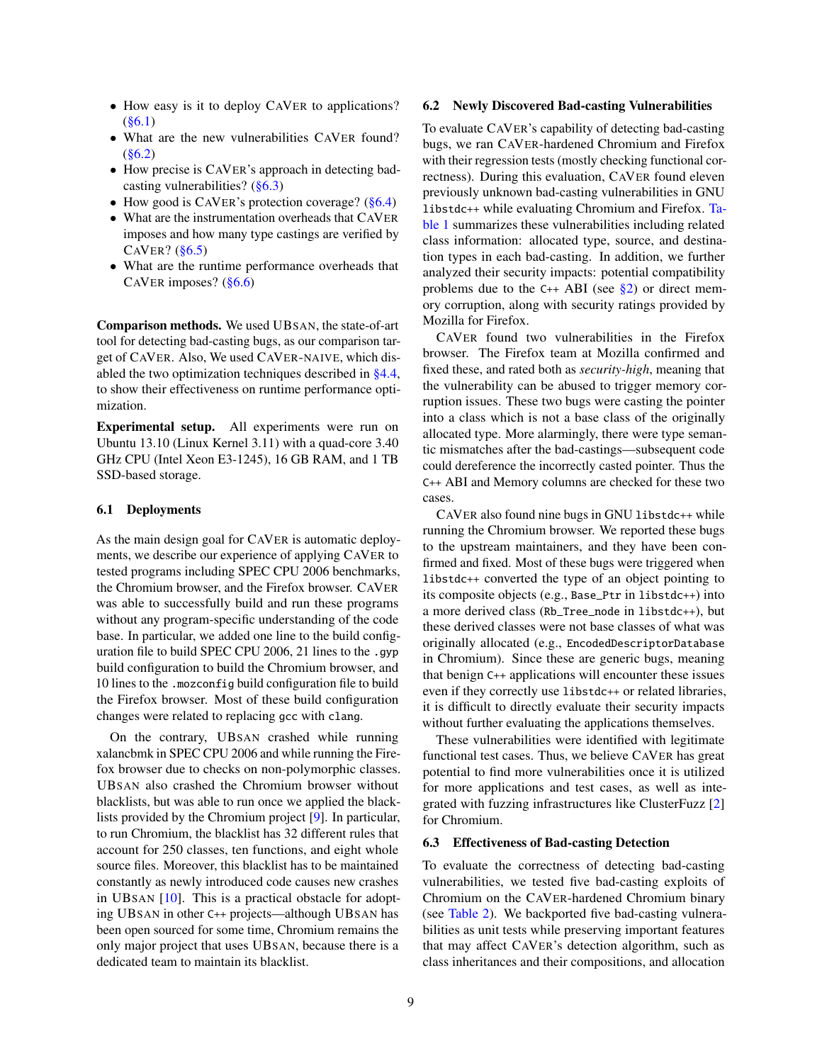- How easy is it to deploy CAVER to applications?  $(86.1)$
- What are the new vulnerabilities CAVER found?  $(\$6.2)$
- How precise is CAVER's approach in detecting badcasting vulnerabilities? [\(§6.3\)](#page-8-2)
- How good is CAVER's protection coverage?  $(\S6.4)$
- What are the instrumentation overheads that CAVER imposes and how many type castings are verified by CAVER?  $(\S6.5)$
- What are the runtime performance overheads that CAVER imposes? [\(§6.6\)](#page-9-2)

Comparison methods. We used UBSAN, the state-of-art tool for detecting bad-casting bugs, as our comparison target of CAVER. Also, We used CAVER-NAIVE, which disabled the two optimization techniques described in [§4.4,](#page-7-2) to show their effectiveness on runtime performance optimization.

Experimental setup. All experiments were run on Ubuntu 13.10 (Linux Kernel 3.11) with a quad-core 3.40 GHz CPU (Intel Xeon E3-1245), 16 GB RAM, and 1 TB SSD-based storage.

### <span id="page-8-0"></span>6.1 Deployments

As the main design goal for CAVER is automatic deployments, we describe our experience of applying CAVER to tested programs including SPEC CPU 2006 benchmarks, the Chromium browser, and the Firefox browser. CAVER was able to successfully build and run these programs without any program-specific understanding of the code base. In particular, we added one line to the build configuration file to build SPEC CPU 2006, 21 lines to the .gyp build configuration to build the Chromium browser, and 10 lines to the .mozconfig build configuration file to build the Firefox browser. Most of these build configuration changes were related to replacing gcc with clang.

<span id="page-8-1"></span>On the contrary, UBSAN crashed while running xalancbmk in SPEC CPU 2006 and while running the Firefox browser due to checks on non-polymorphic classes. UBSAN also crashed the Chromium browser without blacklists, but was able to run once we applied the blacklists provided by the Chromium project [\[9\]](#page-13-0). In particular, to run Chromium, the blacklist has 32 different rules that account for 250 classes, ten functions, and eight whole source files. Moreover, this blacklist has to be maintained constantly as newly introduced code causes new crashes in UBSAN [\[10\]](#page-13-9). This is a practical obstacle for adopting UBSAN in other C++ projects—although UBSAN has been open sourced for some time, Chromium remains the only major project that uses UBSAN, because there is a dedicated team to maintain its blacklist.

#### 6.2 Newly Discovered Bad-casting Vulnerabilities

To evaluate CAVER's capability of detecting bad-casting bugs, we ran CAVER-hardened Chromium and Firefox with their regression tests (mostly checking functional correctness). During this evaluation, CAVER found eleven previously unknown bad-casting vulnerabilities in GNU libstdc++ while evaluating Chromium and Firefox. [Ta](#page-9-3)[ble 1](#page-9-3) summarizes these vulnerabilities including related class information: allocated type, source, and destination types in each bad-casting. In addition, we further analyzed their security impacts: potential compatibility problems due to the  $C_{++}$  ABI (see [§2\)](#page-2-0) or direct memory corruption, along with security ratings provided by Mozilla for Firefox.

CAVER found two vulnerabilities in the Firefox browser. The Firefox team at Mozilla confirmed and fixed these, and rated both as *security-high*, meaning that the vulnerability can be abused to trigger memory corruption issues. These two bugs were casting the pointer into a class which is not a base class of the originally allocated type. More alarmingly, there were type semantic mismatches after the bad-castings—subsequent code could dereference the incorrectly casted pointer. Thus the C++ ABI and Memory columns are checked for these two cases.

CAVER also found nine bugs in GNU libstdc++ while running the Chromium browser. We reported these bugs to the upstream maintainers, and they have been confirmed and fixed. Most of these bugs were triggered when libstdc++ converted the type of an object pointing to its composite objects (e.g., Base\_Ptr in libstdc++) into a more derived class (Rb\_Tree\_node in libstdc++), but these derived classes were not base classes of what was originally allocated (e.g., EncodedDescriptorDatabase in Chromium). Since these are generic bugs, meaning that benign C++ applications will encounter these issues even if they correctly use libstdc++ or related libraries, it is difficult to directly evaluate their security impacts without further evaluating the applications themselves.

These vulnerabilities were identified with legitimate functional test cases. Thus, we believe CAVER has great potential to find more vulnerabilities once it is utilized for more applications and test cases, as well as integrated with fuzzing infrastructures like ClusterFuzz [\[2\]](#page-13-10) for Chromium.

#### <span id="page-8-2"></span>6.3 Effectiveness of Bad-casting Detection

To evaluate the correctness of detecting bad-casting vulnerabilities, we tested five bad-casting exploits of Chromium on the CAVER-hardened Chromium binary (see [Table 2\)](#page-10-0). We backported five bad-casting vulnerabilities as unit tests while preserving important features that may affect CAVER's detection algorithm, such as class inheritances and their compositions, and allocation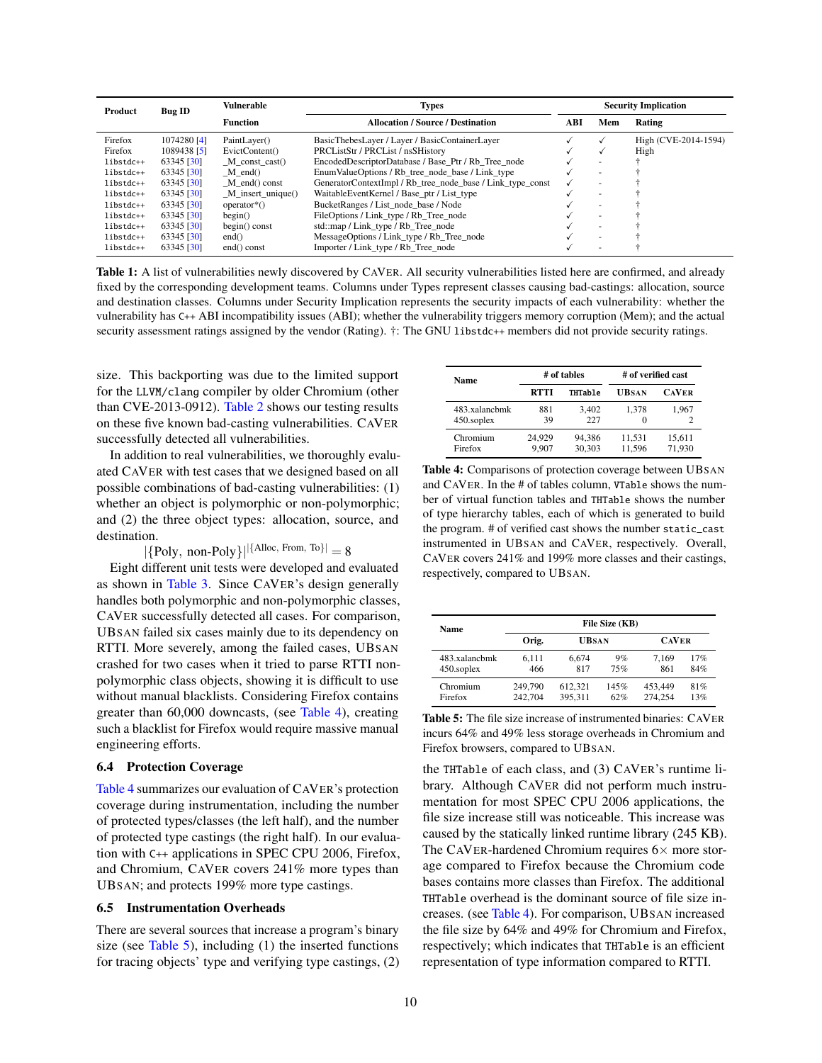<span id="page-9-3"></span>

| <b>Product</b> | <b>Vulnerable</b><br><b>Bug ID</b> |                          | <b>Types</b>                                               | <b>Security Implication</b> |                          |                      |  |
|----------------|------------------------------------|--------------------------|------------------------------------------------------------|-----------------------------|--------------------------|----------------------|--|
|                |                                    | <b>Function</b>          | <b>Allocation / Source / Destination</b>                   |                             | Mem                      | Rating               |  |
| Firefox        | 1074280 [4]                        | PaintLaver()             | BasicThebesLayer / Layer / BasicContainerLayer             |                             |                          | High (CVE-2014-1594) |  |
| Firefox        | 1089438 [5]                        | EvictContent()           | PRCListStr / PRCList / nsSHistory                          |                             |                          | High                 |  |
| libstdc++      | 63345 [30]                         | $M$ const cast()         | EncodedDescriptorDatabase / Base Ptr / Rb Tree node        |                             | ÷                        |                      |  |
| libstdc++      | 63345 [30]                         | $M$ end()                | Enum Value Options / Rb tree node base / Link type         |                             | ÷.                       |                      |  |
| libstdc++      | 63345 [30]                         | $M$ end() const          | GeneratorContextImpl / Rb_tree_node_base / Link_type_const |                             |                          |                      |  |
| libstdc++      | 63345 [30]                         | M insert unique()        | WaitableEventKernel / Base_ptr / List_type                 |                             | $\overline{\phantom{a}}$ |                      |  |
| libstdc++      | 63345 [30]                         | $operator*{coerator}^*($ | BucketRanges / List node base / Node                       |                             | ÷                        |                      |  |
| libstdc++      | 63345 [30]                         | begin)                   | FileOptions / Link_type / Rb_Tree_node                     |                             | $\overline{\phantom{a}}$ |                      |  |
| libstdc++      | 63345 [30]                         | $begin()$ const          | std::map / Link_type / Rb_Tree_node                        |                             | ÷.                       |                      |  |
| libstdc++      | 63345 [30]                         | end()                    | MessageOptions / Link_type / Rb_Tree_node                  |                             | $\overline{\phantom{a}}$ |                      |  |
| libstdc++      | 63345 [30]                         | end() const              | Importer / Link_type / Rb_Tree_node                        |                             | $\overline{\phantom{a}}$ |                      |  |

Table 1: A list of vulnerabilities newly discovered by CAVER. All security vulnerabilities listed here are confirmed, and already fixed by the corresponding development teams. Columns under Types represent classes causing bad-castings: allocation, source and destination classes. Columns under Security Implication represents the security impacts of each vulnerability: whether the vulnerability has C++ ABI incompatibility issues (ABI); whether the vulnerability triggers memory corruption (Mem); and the actual security assessment ratings assigned by the vendor (Rating). †: The GNU libstdc++ members did not provide security ratings.

size. This backporting was due to the limited support for the LLVM/clang compiler by older Chromium (other than CVE-2013-0912). [Table 2](#page-10-0) shows our testing results on these five known bad-casting vulnerabilities. CAVER successfully detected all vulnerabilities.

In addition to real vulnerabilities, we thoroughly evaluated CAVER with test cases that we designed based on all possible combinations of bad-casting vulnerabilities: (1) whether an object is polymorphic or non-polymorphic; and (2) the three object types: allocation, source, and destination.

 $|\{Poly, non-Poly\}|^{\{Alice, From, To\}}|=8$ 

Eight different unit tests were developed and evaluated as shown in [Table 3.](#page-10-1) Since CAVER's design generally handles both polymorphic and non-polymorphic classes, CAVER successfully detected all cases. For comparison, UBSAN failed six cases mainly due to its dependency on RTTI. More severely, among the failed cases, UBSAN crashed for two cases when it tried to parse RTTI nonpolymorphic class objects, showing it is difficult to use without manual blacklists. Considering Firefox contains greater than 60,000 downcasts, (see [Table 4\)](#page-9-4), creating such a blacklist for Firefox would require massive manual engineering efforts.

#### <span id="page-9-0"></span>6.4 Protection Coverage

[Table 4](#page-9-4) summarizes our evaluation of CAVER's protection coverage during instrumentation, including the number of protected types/classes (the left half), and the number of protected type castings (the right half). In our evaluation with C++ applications in SPEC CPU 2006, Firefox, and Chromium, CAVER covers 241% more types than UBSAN; and protects 199% more type castings.

### <span id="page-9-1"></span>6.5 Instrumentation Overheads

There are several sources that increase a program's binary size (see [Table 5\)](#page-9-5), including  $(1)$  the inserted functions for tracing objects' type and verifying type castings, (2)

<span id="page-9-4"></span>

| <b>Name</b>   |        | # of tables    | # of verified cast |              |  |
|---------------|--------|----------------|--------------------|--------------|--|
|               | RTTI   | <b>THTable</b> | <b>UBSAN</b>       | <b>CAVER</b> |  |
| 483.xalancbmk | 881    | 3.402          | 1.378              | 1.967        |  |
| 450.soplex    | 39     | 227            | $\Omega$           |              |  |
| Chromium      | 24.929 | 94,386         | 11,531             | 15,611       |  |
| Firefox       | 9.907  | 30,303         | 11,596             | 71.930       |  |

Table 4: Comparisons of protection coverage between UBSAN and CAVER. In the # of tables column, VTable shows the number of virtual function tables and THTable shows the number of type hierarchy tables, each of which is generated to build the program. # of verified cast shows the number static\_cast instrumented in UBSAN and CAVER, respectively. Overall, CAVER covers 241% and 199% more classes and their castings, respectively, compared to UBSAN.

<span id="page-9-5"></span>

| Name          |         |              | File Size (KB) |              |     |  |
|---------------|---------|--------------|----------------|--------------|-----|--|
|               | Orig.   | <b>UBSAN</b> |                | <b>CAVER</b> |     |  |
| 483.xalanchmk | 6.111   | 6.674        | 9%             | 7.169        | 17% |  |
| 450.soplex    | 466     | 817          | 75%            | 861          | 84% |  |
| Chromium      | 249,790 | 612.321      | 145%           | 453,449      | 81% |  |
| Firefox       | 242,704 | 395,311      | 62%            | 274,254      | 13% |  |

Table 5: The file size increase of instrumented binaries: CAVER incurs 64% and 49% less storage overheads in Chromium and Firefox browsers, compared to UBSAN.

<span id="page-9-2"></span>the THTable of each class, and (3) CAVER's runtime library. Although CAVER did not perform much instrumentation for most SPEC CPU 2006 applications, the file size increase still was noticeable. This increase was caused by the statically linked runtime library (245 KB). The CAVER-hardened Chromium requires  $6\times$  more storage compared to Firefox because the Chromium code bases contains more classes than Firefox. The additional THTable overhead is the dominant source of file size increases. (see [Table 4\)](#page-9-4). For comparison, UBSAN increased the file size by 64% and 49% for Chromium and Firefox, respectively; which indicates that THTable is an efficient representation of type information compared to RTTI.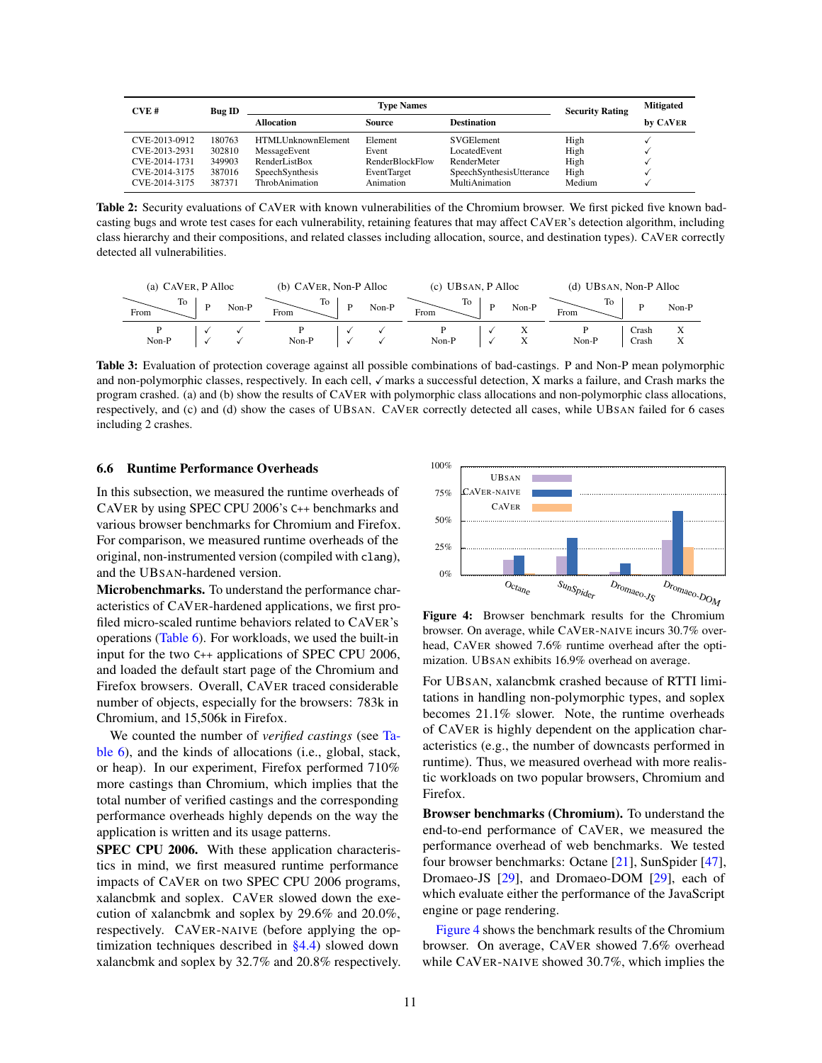<span id="page-10-0"></span>

| CVE#          | <b>Bug ID</b> |                           | <b>Security Rating</b> | <b>Mitigated</b>         |        |          |
|---------------|---------------|---------------------------|------------------------|--------------------------|--------|----------|
|               |               | <b>Allocation</b>         | Source                 | <b>Destination</b>       |        | by CAVER |
| CVE-2013-0912 | 180763        | <b>HTMLUnknownElement</b> | Element                | SVGElement               | High   |          |
| CVE-2013-2931 | 302810        | MessageEvent              | Event                  | LocatedEvent             | High   |          |
| CVE-2014-1731 | 349903        | RenderListBox             | <b>RenderBlockFlow</b> | RenderMeter              | High   |          |
| CVE-2014-3175 | 387016        | SpeechSynthesis           | <b>EventTarget</b>     | SpeechSynthesisUtterance | High   |          |
| CVE-2014-3175 | 387371        | <b>ThrobAnimation</b>     | Animation              | MultiAnimation           | Medium |          |

Table 2: Security evaluations of CAVER with known vulnerabilities of the Chromium browser. We first picked five known badcasting bugs and wrote test cases for each vulnerability, retaining features that may affect CAVER's detection algorithm, including class hierarchy and their compositions, and related classes including allocation, source, and destination types). CAVER correctly detected all vulnerabilities.

<span id="page-10-1"></span>

| (a) CAVER, P Alloc |  |       | (b) CAVER, Non-P Alloc |       | (c) UBSAN, P Alloc |    |        | (d) UBSAN, Non-P Alloc |                |                |
|--------------------|--|-------|------------------------|-------|--------------------|----|--------|------------------------|----------------|----------------|
| Го<br>From         |  | Non-P | Ίò<br>From             | Non-P | From               | To | Non-P  | TO.<br>From            |                | $Non-P$        |
| $Non-P$            |  |       | Non-P                  |       | Non-P              |    | л<br>л | Non-P                  | Crash<br>Crash | $\Lambda$<br>△ |

Table 3: Evaluation of protection coverage against all possible combinations of bad-castings. P and Non-P mean polymorphic and non-polymorphic classes, respectively. In each cell, √marks a successful detection, X marks a failure, and Crash marks the program crashed. (a) and (b) show the results of CAVER with polymorphic class allocations and non-polymorphic class allocations, respectively, and (c) and (d) show the cases of UBSAN. CAVER correctly detected all cases, while UBSAN failed for 6 cases including 2 crashes.

#### 6.6 Runtime Performance Overheads

In this subsection, we measured the runtime overheads of CAVER by using SPEC CPU 2006's C++ benchmarks and various browser benchmarks for Chromium and Firefox. For comparison, we measured runtime overheads of the original, non-instrumented version (compiled with clang), and the UBSAN-hardened version.

Microbenchmarks. To understand the performance characteristics of CAVER-hardened applications, we first profiled micro-scaled runtime behaviors related to CAVER's operations [\(Table 6\)](#page-11-1). For workloads, we used the built-in input for the two C++ applications of SPEC CPU 2006, and loaded the default start page of the Chromium and Firefox browsers. Overall, CAVER traced considerable number of objects, especially for the browsers: 783k in Chromium, and 15,506k in Firefox.

We counted the number of *verified castings* (see [Ta](#page-11-1)[ble 6\)](#page-11-1), and the kinds of allocations (i.e., global, stack, or heap). In our experiment, Firefox performed 710% more castings than Chromium, which implies that the total number of verified castings and the corresponding performance overheads highly depends on the way the application is written and its usage patterns.

SPEC CPU 2006. With these application characteristics in mind, we first measured runtime performance impacts of CAVER on two SPEC CPU 2006 programs, xalancbmk and soplex. CAVER slowed down the execution of xalancbmk and soplex by 29.6% and 20.0%, respectively. CAVER-NAIVE (before applying the optimization techniques described in  $\S$ 4.4) slowed down xalancbmk and soplex by 32.7% and 20.8% respectively.

<span id="page-10-2"></span>

Figure 4: Browser benchmark results for the Chromium browser. On average, while CAVER-NAIVE incurs 30.7% overhead, CAVER showed 7.6% runtime overhead after the optimization. UBSAN exhibits 16.9% overhead on average.

For UBSAN, xalancbmk crashed because of RTTI limitations in handling non-polymorphic types, and soplex becomes 21.1% slower. Note, the runtime overheads of CAVER is highly dependent on the application characteristics (e.g., the number of downcasts performed in runtime). Thus, we measured overhead with more realistic workloads on two popular browsers, Chromium and Firefox.

Browser benchmarks (Chromium). To understand the end-to-end performance of CAVER, we measured the performance overhead of web benchmarks. We tested four browser benchmarks: Octane [\[21\]](#page-14-13), SunSpider [\[47\]](#page-14-14), Dromaeo-JS [\[29\]](#page-14-15), and Dromaeo-DOM [\[29\]](#page-14-15), each of which evaluate either the performance of the JavaScript engine or page rendering.

[Figure 4](#page-10-2) shows the benchmark results of the Chromium browser. On average, CAVER showed 7.6% overhead while CAVER-NAIVE showed 30.7%, which implies the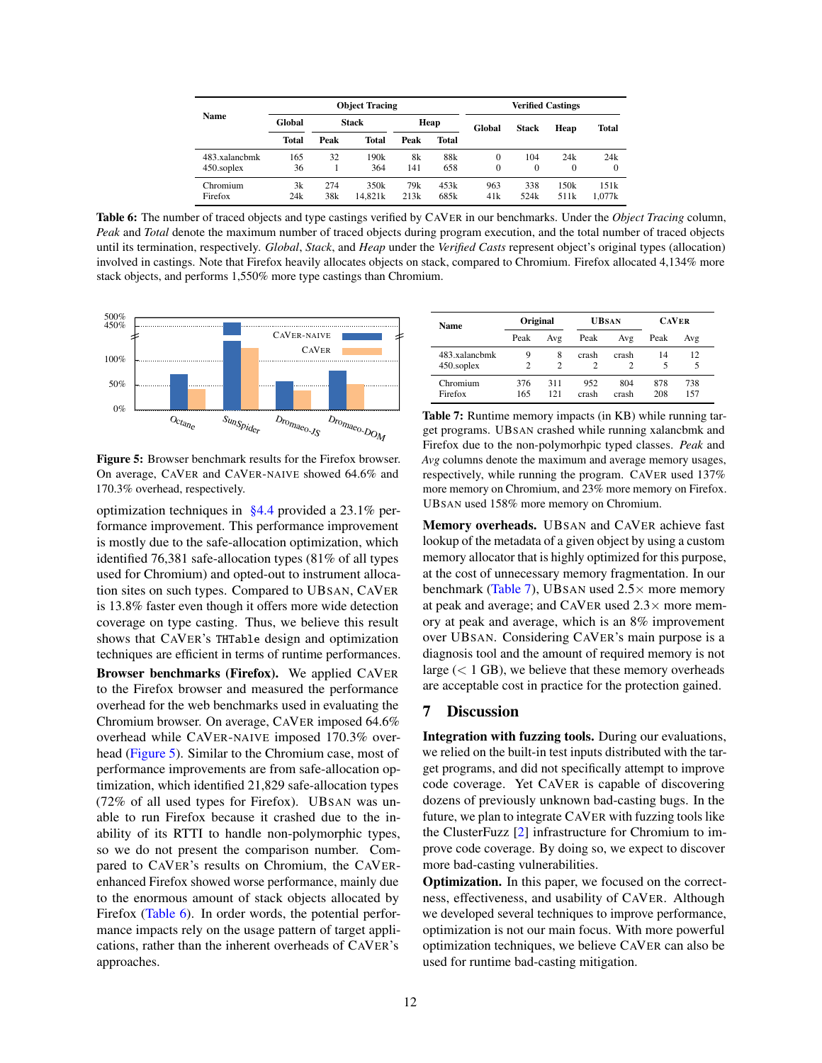<span id="page-11-1"></span>

|               |              |              | <b>Object Tracing</b> |      |       |        |              | <b>Verified Castings</b> |          |
|---------------|--------------|--------------|-----------------------|------|-------|--------|--------------|--------------------------|----------|
| <b>Name</b>   | Global       | <b>Stack</b> |                       | Heap |       | Global | <b>Stack</b> | Heap                     | Total    |
|               | <b>Total</b> | Peak         | <b>Total</b>          | Peak | Total |        |              |                          |          |
| 483.xalanchmk | 165          | 32           | 190k                  | 8k   | 88k   | 0      | 104          | 24k                      | 24k      |
| 450.soplex    | 36           |              | 364                   | 141  | 658   | 0      | $\Omega$     | 0                        | $\Omega$ |
| Chromium      | 3k           | 274          | 350k                  | 79k  | 453k  | 963    | 338          | 150k                     | 151k     |
| Firefox       | 24k          | 38k          | 14.821k               | 213k | 685k  | 41k    | 524k         | 511k                     | 1.077k   |

Table 6: The number of traced objects and type castings verified by CAVER in our benchmarks. Under the *Object Tracing* column, *Peak* and *Total* denote the maximum number of traced objects during program execution, and the total number of traced objects until its termination, respectively. *Global*, *Stack*, and *Heap* under the *Verified Casts* represent object's original types (allocation) involved in castings. Note that Firefox heavily allocates objects on stack, compared to Chromium. Firefox allocated 4,134% more stack objects, and performs 1,550% more type castings than Chromium.

<span id="page-11-2"></span>

Figure 5: Browser benchmark results for the Firefox browser. On average, CAVER and CAVER-NAIVE showed 64.6% and 170.3% overhead, respectively.

optimization techniques in [§4.4](#page-7-2) provided a 23.1% performance improvement. This performance improvement is mostly due to the safe-allocation optimization, which identified 76,381 safe-allocation types (81% of all types used for Chromium) and opted-out to instrument allocation sites on such types. Compared to UBSAN, CAVER is 13.8% faster even though it offers more wide detection coverage on type casting. Thus, we believe this result shows that CAVER's THTable design and optimization techniques are efficient in terms of runtime performances. Browser benchmarks (Firefox). We applied CAVER to the Firefox browser and measured the performance overhead for the web benchmarks used in evaluating the Chromium browser. On average, CAVER imposed 64.6% overhead while CAVER-NAIVE imposed 170.3% overhead [\(Figure 5\)](#page-11-2). Similar to the Chromium case, most of performance improvements are from safe-allocation optimization, which identified 21,829 safe-allocation types (72% of all used types for Firefox). UBSAN was unable to run Firefox because it crashed due to the inability of its RTTI to handle non-polymorphic types, so we do not present the comparison number. Compared to CAVER's results on Chromium, the CAVERenhanced Firefox showed worse performance, mainly due to the enormous amount of stack objects allocated by Firefox [\(Table 6\)](#page-11-1). In order words, the potential performance impacts rely on the usage pattern of target applications, rather than the inherent overheads of CAVER's approaches.

<span id="page-11-3"></span>

| <b>Name</b>   | Original |     |       | <b>UBSAN</b> | <b>CAVER</b> |     |  |
|---------------|----------|-----|-------|--------------|--------------|-----|--|
|               | Peak     | Avg | Peak  | Avg          | Peak         | Avg |  |
| 483.xalanchmk | 9        | 8   | crash | crash        | 14           | 12  |  |
| 450.soplex    | 2        | 2   | 2     |              | 5            | 5   |  |
| Chromium      | 376      | 311 | 952   | 804          | 878          | 738 |  |
| Firefox       | 165      | 121 | crash | crash        | 208          | 157 |  |

Table 7: Runtime memory impacts (in KB) while running target programs. UBSAN crashed while running xalancbmk and Firefox due to the non-polymorhpic typed classes. *Peak* and *Avg* columns denote the maximum and average memory usages, respectively, while running the program. CAVER used 137% more memory on Chromium, and 23% more memory on Firefox. UBSAN used 158% more memory on Chromium.

Memory overheads. UBSAN and CAVER achieve fast lookup of the metadata of a given object by using a custom memory allocator that is highly optimized for this purpose, at the cost of unnecessary memory fragmentation. In our benchmark [\(Table 7\)](#page-11-3), UBSAN used  $2.5\times$  more memory at peak and average; and CAVER used  $2.3\times$  more memory at peak and average, which is an 8% improvement over UBSAN. Considering CAVER's main purpose is a diagnosis tool and the amount of required memory is not large  $(< 1$  GB), we believe that these memory overheads are acceptable cost in practice for the protection gained.

# <span id="page-11-0"></span>7 Discussion

Integration with fuzzing tools. During our evaluations, we relied on the built-in test inputs distributed with the target programs, and did not specifically attempt to improve code coverage. Yet CAVER is capable of discovering dozens of previously unknown bad-casting bugs. In the future, we plan to integrate CAVER with fuzzing tools like the ClusterFuzz [\[2\]](#page-13-10) infrastructure for Chromium to improve code coverage. By doing so, we expect to discover more bad-casting vulnerabilities.

Optimization. In this paper, we focused on the correctness, effectiveness, and usability of CAVER. Although we developed several techniques to improve performance, optimization is not our main focus. With more powerful optimization techniques, we believe CAVER can also be used for runtime bad-casting mitigation.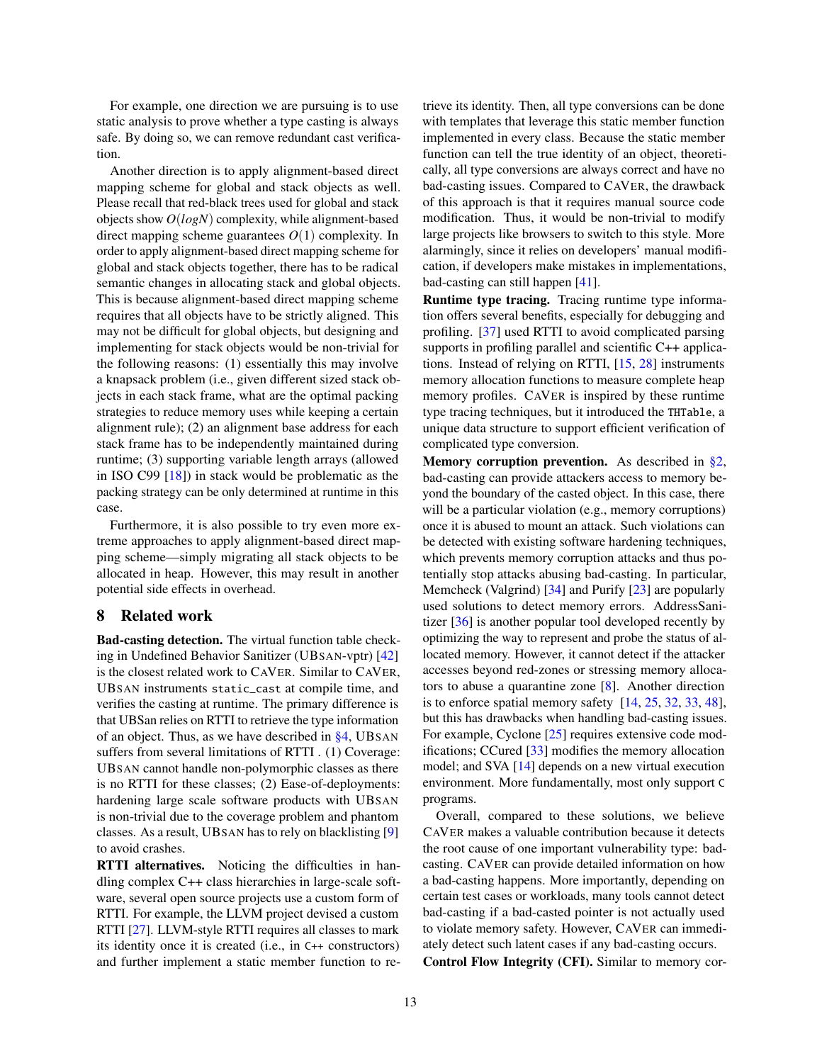For example, one direction we are pursuing is to use static analysis to prove whether a type casting is always safe. By doing so, we can remove redundant cast verification.

Another direction is to apply alignment-based direct mapping scheme for global and stack objects as well. Please recall that red-black trees used for global and stack objects show *O*(*logN*) complexity, while alignment-based direct mapping scheme guarantees *O*(1) complexity. In order to apply alignment-based direct mapping scheme for global and stack objects together, there has to be radical semantic changes in allocating stack and global objects. This is because alignment-based direct mapping scheme requires that all objects have to be strictly aligned. This may not be difficult for global objects, but designing and implementing for stack objects would be non-trivial for the following reasons: (1) essentially this may involve a knapsack problem (i.e., given different sized stack objects in each stack frame, what are the optimal packing strategies to reduce memory uses while keeping a certain alignment rule); (2) an alignment base address for each stack frame has to be independently maintained during runtime; (3) supporting variable length arrays (allowed in ISO C99 [\[18\]](#page-13-12)) in stack would be problematic as the packing strategy can be only determined at runtime in this case.

Furthermore, it is also possible to try even more extreme approaches to apply alignment-based direct mapping scheme—simply migrating all stack objects to be allocated in heap. However, this may result in another potential side effects in overhead.

### <span id="page-12-0"></span>8 Related work

Bad-casting detection. The virtual function table checking in Undefined Behavior Sanitizer (UBSAN-vptr) [\[42\]](#page-14-2) is the closest related work to CAVER. Similar to CAVER, UBSAN instruments static\_cast at compile time, and verifies the casting at runtime. The primary difference is that UBSan relies on RTTI to retrieve the type information of an object. Thus, as we have described in [§4,](#page-4-0) UBSAN suffers from several limitations of RTTI . (1) Coverage: UBSAN cannot handle non-polymorphic classes as there is no RTTI for these classes; (2) Ease-of-deployments: hardening large scale software products with UBSAN is non-trivial due to the coverage problem and phantom classes. As a result, UBSAN has to rely on blacklisting [\[9\]](#page-13-0) to avoid crashes.

RTTI alternatives. Noticing the difficulties in handling complex C++ class hierarchies in large-scale software, several open source projects use a custom form of RTTI. For example, the LLVM project devised a custom RTTI [\[27\]](#page-14-16). LLVM-style RTTI requires all classes to mark its identity once it is created (i.e., in C++ constructors) and further implement a static member function to retrieve its identity. Then, all type conversions can be done with templates that leverage this static member function implemented in every class. Because the static member function can tell the true identity of an object, theoretically, all type conversions are always correct and have no bad-casting issues. Compared to CAVER, the drawback of this approach is that it requires manual source code modification. Thus, it would be non-trivial to modify large projects like browsers to switch to this style. More alarmingly, since it relies on developers' manual modification, if developers make mistakes in implementations, bad-casting can still happen [\[41\]](#page-14-3).

Runtime type tracing. Tracing runtime type information offers several benefits, especially for debugging and profiling. [\[37\]](#page-14-17) used RTTI to avoid complicated parsing supports in profiling parallel and scientific C++ applications. Instead of relying on RTTI, [\[15,](#page-13-13) [28\]](#page-14-18) instruments memory allocation functions to measure complete heap memory profiles. CAVER is inspired by these runtime type tracing techniques, but it introduced the THTable, a unique data structure to support efficient verification of complicated type conversion.

Memory corruption prevention. As described in [§2,](#page-2-0) bad-casting can provide attackers access to memory beyond the boundary of the casted object. In this case, there will be a particular violation (e.g., memory corruptions) once it is abused to mount an attack. Such violations can be detected with existing software hardening techniques, which prevents memory corruption attacks and thus potentially stop attacks abusing bad-casting. In particular, Memcheck (Valgrind) [\[34\]](#page-14-19) and Purify [\[23\]](#page-14-20) are popularly used solutions to detect memory errors. AddressSanitizer [\[36\]](#page-14-21) is another popular tool developed recently by optimizing the way to represent and probe the status of allocated memory. However, it cannot detect if the attacker accesses beyond red-zones or stressing memory allocators to abuse a quarantine zone [\[8\]](#page-13-14). Another direction is to enforce spatial memory safety [\[14,](#page-13-15) [25,](#page-14-22) [32,](#page-14-23) [33,](#page-14-7) [48\]](#page-14-24), but this has drawbacks when handling bad-casting issues. For example, Cyclone [\[25\]](#page-14-22) requires extensive code modifications; CCured [\[33\]](#page-14-7) modifies the memory allocation model; and SVA [\[14\]](#page-13-15) depends on a new virtual execution environment. More fundamentally, most only support C programs.

Overall, compared to these solutions, we believe CAVER makes a valuable contribution because it detects the root cause of one important vulnerability type: badcasting. CAVER can provide detailed information on how a bad-casting happens. More importantly, depending on certain test cases or workloads, many tools cannot detect bad-casting if a bad-casted pointer is not actually used to violate memory safety. However, CAVER can immediately detect such latent cases if any bad-casting occurs.

Control Flow Integrity (CFI). Similar to memory cor-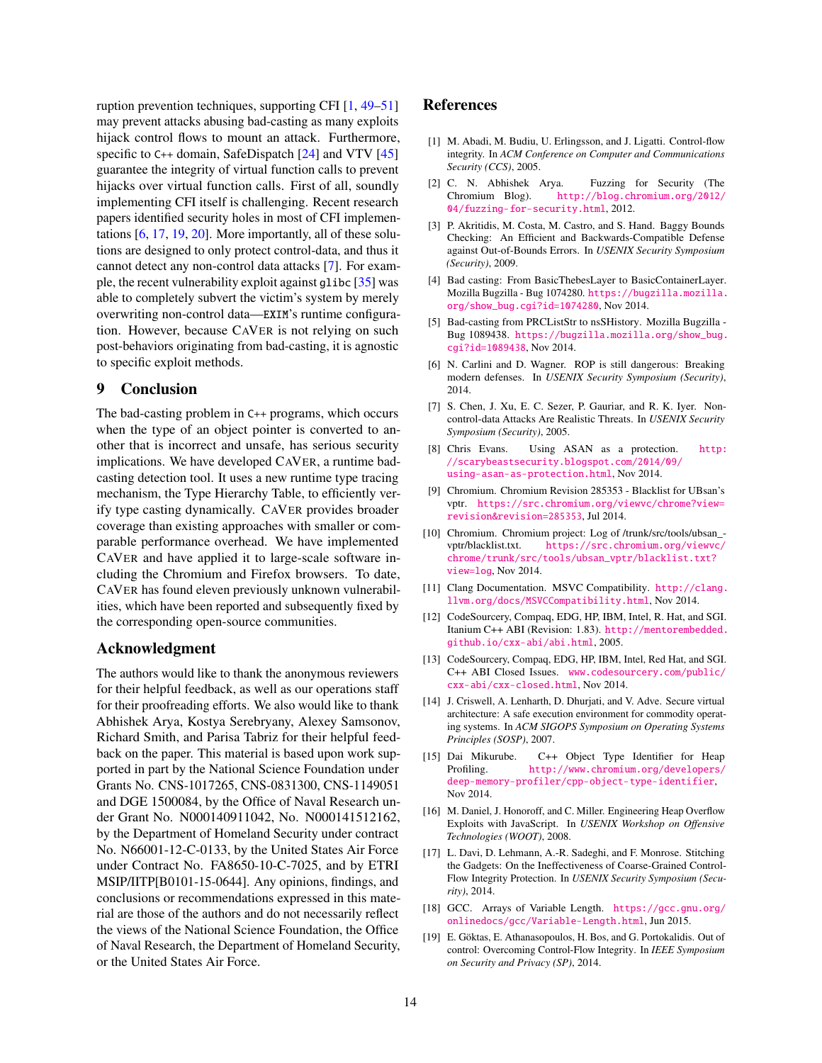ruption prevention techniques, supporting CFI [\[1,](#page-13-16) [49–](#page-14-25)[51\]](#page-14-26) may prevent attacks abusing bad-casting as many exploits hijack control flows to mount an attack. Furthermore, specific to C++ domain, SafeDispatch [\[24\]](#page-14-27) and VTV [\[45\]](#page-14-28) guarantee the integrity of virtual function calls to prevent hijacks over virtual function calls. First of all, soundly implementing CFI itself is challenging. Recent research papers identified security holes in most of CFI implementations [\[6,](#page-13-17) [17,](#page-13-18) [19,](#page-13-19) [20\]](#page-14-29). More importantly, all of these solutions are designed to only protect control-data, and thus it cannot detect any non-control data attacks [\[7\]](#page-13-3). For example, the recent vulnerability exploit against glibc [\[35\]](#page-14-30) was able to completely subvert the victim's system by merely overwriting non-control data—EXIM's runtime configuration. However, because CAVER is not relying on such post-behaviors originating from bad-casting, it is agnostic to specific exploit methods.

# <span id="page-13-1"></span>9 Conclusion

The bad-casting problem in C++ programs, which occurs when the type of an object pointer is converted to another that is incorrect and unsafe, has serious security implications. We have developed CAVER, a runtime badcasting detection tool. It uses a new runtime type tracing mechanism, the Type Hierarchy Table, to efficiently verify type casting dynamically. CAVER provides broader coverage than existing approaches with smaller or comparable performance overhead. We have implemented CAVER and have applied it to large-scale software including the Chromium and Firefox browsers. To date, CAVER has found eleven previously unknown vulnerabilities, which have been reported and subsequently fixed by the corresponding open-source communities.

# Acknowledgment

The authors would like to thank the anonymous reviewers for their helpful feedback, as well as our operations staff for their proofreading efforts. We also would like to thank Abhishek Arya, Kostya Serebryany, Alexey Samsonov, Richard Smith, and Parisa Tabriz for their helpful feedback on the paper. This material is based upon work supported in part by the National Science Foundation under Grants No. CNS-1017265, CNS-0831300, CNS-1149051 and DGE 1500084, by the Office of Naval Research under Grant No. N000140911042, No. N000141512162, by the Department of Homeland Security under contract No. N66001-12-C-0133, by the United States Air Force under Contract No. FA8650-10-C-7025, and by ETRI MSIP/IITP[B0101-15-0644]. Any opinions, findings, and conclusions or recommendations expressed in this material are those of the authors and do not necessarily reflect the views of the National Science Foundation, the Office of Naval Research, the Department of Homeland Security, or the United States Air Force.

# References

- <span id="page-13-16"></span>[1] M. Abadi, M. Budiu, U. Erlingsson, and J. Ligatti. Control-flow integrity. In *ACM Conference on Computer and Communications Security (CCS)*, 2005.
- <span id="page-13-10"></span>[2] C. N. Abhishek Arya. Fuzzing for Security (The [http://blog.chromium.org/2012/](http://blog.chromium.org/2012/04/fuzzing-for-security.html) [04/fuzzing-for-security.html](http://blog.chromium.org/2012/04/fuzzing-for-security.html), 2012.
- <span id="page-13-8"></span>[3] P. Akritidis, M. Costa, M. Castro, and S. Hand. Baggy Bounds Checking: An Efficient and Backwards-Compatible Defense against Out-of-Bounds Errors. In *USENIX Security Symposium (Security)*, 2009.
- <span id="page-13-7"></span>[4] Bad casting: From BasicThebesLayer to BasicContainerLayer. Mozilla Bugzilla - Bug 1074280. [https://bugzilla.mozilla.](https://bugzilla.mozilla.org/show_bug.cgi?id=1074280) [org/show\\_bug.cgi?id=1074280](https://bugzilla.mozilla.org/show_bug.cgi?id=1074280), Nov 2014.
- <span id="page-13-11"></span>[5] Bad-casting from PRCListStr to nsSHistory. Mozilla Bugzilla - Bug 1089438. [https://bugzilla.mozilla.org/show\\_bug.](https://bugzilla.mozilla.org/show_bug.cgi?id=1089438) [cgi?id=1089438](https://bugzilla.mozilla.org/show_bug.cgi?id=1089438), Nov 2014.
- <span id="page-13-17"></span>[6] N. Carlini and D. Wagner. ROP is still dangerous: Breaking modern defenses. In *USENIX Security Symposium (Security)*, 2014.
- <span id="page-13-3"></span>[7] S. Chen, J. Xu, E. C. Sezer, P. Gauriar, and R. K. Iyer. Noncontrol-data Attacks Are Realistic Threats. In *USENIX Security Symposium (Security)*, 2005.
- <span id="page-13-14"></span>[8] Chris Evans. Using ASAN as a protection. [http:](http://scarybeastsecurity.blogspot.com/2014/09/using-asan-as-protection.html) [//scarybeastsecurity.blogspot.com/2014/09/](http://scarybeastsecurity.blogspot.com/2014/09/using-asan-as-protection.html) [using-asan-as-protection.html](http://scarybeastsecurity.blogspot.com/2014/09/using-asan-as-protection.html), Nov 2014.
- <span id="page-13-0"></span>[9] Chromium. Chromium Revision 285353 - Blacklist for UBsan's vptr. [https://src.chromium.org/viewvc/chrome?view=](https://src.chromium.org/viewvc/chrome?view=revision&revision=285353) [revision&revision=285353](https://src.chromium.org/viewvc/chrome?view=revision&revision=285353), Jul 2014.
- <span id="page-13-9"></span>[10] Chromium. Chromium project: Log of /trunk/src/tools/ubsan\_ vptr/blacklist.txt. [https://src.chromium.org/viewvc/](https://src.chromium.org/viewvc/chrome/trunk/src/tools/ubsan_vptr/blacklist.txt?view=log) [chrome/trunk/src/tools/ubsan\\_vptr/blacklist.txt?](https://src.chromium.org/viewvc/chrome/trunk/src/tools/ubsan_vptr/blacklist.txt?view=log) [view=log](https://src.chromium.org/viewvc/chrome/trunk/src/tools/ubsan_vptr/blacklist.txt?view=log), Nov 2014.
- <span id="page-13-5"></span>[11] Clang Documentation. MSVC Compatibility. [http://clang.](http://clang.llvm.org/docs/MSVCCompatibility.html) [llvm.org/docs/MSVCCompatibility.html](http://clang.llvm.org/docs/MSVCCompatibility.html), Nov 2014.
- <span id="page-13-4"></span>[12] CodeSourcery, Compaq, EDG, HP, IBM, Intel, R. Hat, and SGI. Itanium C++ ABI (Revision: 1.83). [http://mentorembedded.](http://mentorembedded.github.io/cxx-abi/abi.html) [github.io/cxx-abi/abi.html](http://mentorembedded.github.io/cxx-abi/abi.html), 2005.
- <span id="page-13-6"></span>[13] CodeSourcery, Compaq, EDG, HP, IBM, Intel, Red Hat, and SGI. C++ ABI Closed Issues. [www.codesourcery.com/public/](www.codesourcery.com/public/cxx-abi/cxx-closed.html) [cxx-abi/cxx-closed.html](www.codesourcery.com/public/cxx-abi/cxx-closed.html), Nov 2014.
- <span id="page-13-15"></span>[14] J. Criswell, A. Lenharth, D. Dhurjati, and V. Adve. Secure virtual architecture: A safe execution environment for commodity operating systems. In *ACM SIGOPS Symposium on Operating Systems Principles (SOSP)*, 2007.
- <span id="page-13-13"></span>[15] Dai Mikurube. C++ Object Type Identifier for Heap Profiling. [http://www.chromium.org/developers/](http://www.chromium.org/developers/deep-memory-profiler/cpp-object-type-identifier) [deep-memory-profiler/cpp-object-type-identifier](http://www.chromium.org/developers/deep-memory-profiler/cpp-object-type-identifier), Nov 2014.
- <span id="page-13-2"></span>[16] M. Daniel, J. Honoroff, and C. Miller. Engineering Heap Overflow Exploits with JavaScript. In *USENIX Workshop on Offensive Technologies (WOOT)*, 2008.
- <span id="page-13-18"></span>[17] L. Davi, D. Lehmann, A.-R. Sadeghi, and F. Monrose. Stitching the Gadgets: On the Ineffectiveness of Coarse-Grained Control-Flow Integrity Protection. In *USENIX Security Symposium (Security)*, 2014.
- <span id="page-13-12"></span>[18] GCC. Arrays of Variable Length. [https://gcc.gnu.org/](https://gcc.gnu.org/onlinedocs/gcc/Variable-Length.html) [onlinedocs/gcc/Variable-Length.html](https://gcc.gnu.org/onlinedocs/gcc/Variable-Length.html), Jun 2015.
- <span id="page-13-19"></span>[19] E. Göktas, E. Athanasopoulos, H. Bos, and G. Portokalidis. Out of control: Overcoming Control-Flow Integrity. In *IEEE Symposium on Security and Privacy (SP)*, 2014.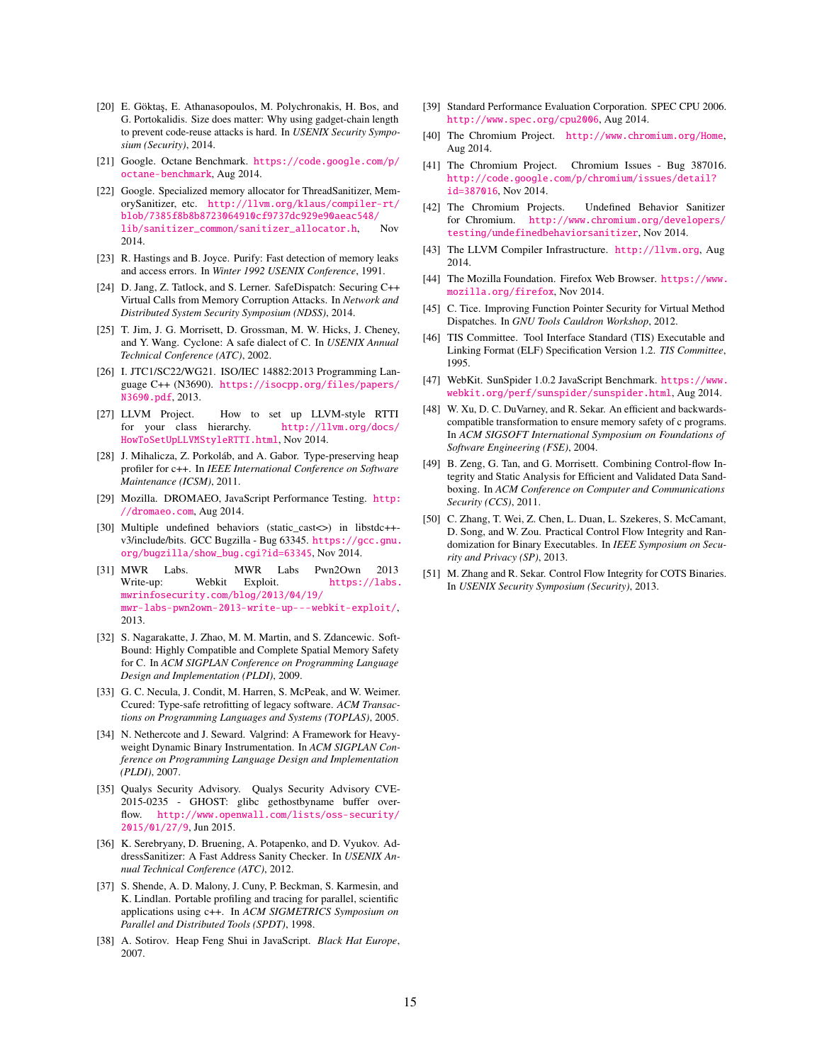- <span id="page-14-29"></span>[20] E. Göktaş, E. Athanasopoulos, M. Polychronakis, H. Bos, and G. Portokalidis. Size does matter: Why using gadget-chain length to prevent code-reuse attacks is hard. In *USENIX Security Symposium (Security)*, 2014.
- <span id="page-14-13"></span>[21] Google. Octane Benchmark. [https://code.google.com/p/](https://code.google.com/p/octane-benchmark) [octane-benchmark](https://code.google.com/p/octane-benchmark), Aug 2014.
- <span id="page-14-6"></span>[22] Google. Specialized memory allocator for ThreadSanitizer, MemorySanitizer, etc. [http://llvm.org/klaus/compiler-rt/](http://llvm.org/klaus/compiler-rt/blob/7385f8b8b8723064910cf9737dc929e90aeac548/lib/sanitizer_common/sanitizer_allocator.h) [blob/7385f8b8b8723064910cf9737dc929e90aeac548/](http://llvm.org/klaus/compiler-rt/blob/7385f8b8b8723064910cf9737dc929e90aeac548/lib/sanitizer_common/sanitizer_allocator.h) [lib/sanitizer\\_common/sanitizer\\_allocator.h](http://llvm.org/klaus/compiler-rt/blob/7385f8b8b8723064910cf9737dc929e90aeac548/lib/sanitizer_common/sanitizer_allocator.h), Nov 2014.
- <span id="page-14-20"></span>[23] R. Hastings and B. Joyce. Purify: Fast detection of memory leaks and access errors. In *Winter 1992 USENIX Conference*, 1991.
- <span id="page-14-27"></span>[24] D. Jang, Z. Tatlock, and S. Lerner. SafeDispatch: Securing C++ Virtual Calls from Memory Corruption Attacks. In *Network and Distributed System Security Symposium (NDSS)*, 2014.
- <span id="page-14-22"></span>[25] T. Jim, J. G. Morrisett, D. Grossman, M. W. Hicks, J. Cheney, and Y. Wang. Cyclone: A safe dialect of C. In *USENIX Annual Technical Conference (ATC)*, 2002.
- <span id="page-14-0"></span>[26] I. JTC1/SC22/WG21. ISO/IEC 14882:2013 Programming Language C++ (N3690). [https://isocpp.org/files/papers/](https://isocpp.org/files/papers/N3690.pdf) [N3690.pdf](https://isocpp.org/files/papers/N3690.pdf), 2013.
- <span id="page-14-16"></span>[27] LLVM Project. How to set up LLVM-style RTTI for your class hierarchy. [http://llvm.org/docs/](http://llvm.org/docs/HowToSetUpLLVMStyleRTTI.html) [HowToSetUpLLVMStyleRTTI.html](http://llvm.org/docs/HowToSetUpLLVMStyleRTTI.html), Nov 2014.
- <span id="page-14-18"></span>[28] J. Mihalicza, Z. Porkoláb, and A. Gabor. Type-preserving heap profiler for c++. In *IEEE International Conference on Software Maintenance (ICSM)*, 2011.
- <span id="page-14-15"></span>[29] Mozilla. DROMAEO, JavaScript Performance Testing. [http:](http://dromaeo.com) [//dromaeo.com](http://dromaeo.com), Aug 2014.
- <span id="page-14-12"></span>[30] Multiple undefined behaviors (static\_cast<>) in libstdc++ v3/include/bits. GCC Bugzilla - Bug 63345. [https://gcc.gnu.](https://gcc.gnu.org/bugzilla/show_bug.cgi?id=63345) [org/bugzilla/show\\_bug.cgi?id=63345](https://gcc.gnu.org/bugzilla/show_bug.cgi?id=63345), Nov 2014.
- <span id="page-14-1"></span>[31] MWR Labs. MWR Labs Pwn2Own 2013<br>Write-up: Webkit Exploit. https://labs. Exploit. [https://labs.](https://labs.mwrinfosecurity.com/blog/2013/04/19/mwr-labs-pwn2own-2013-write-up---webkit-exploit/) [mwrinfosecurity.com/blog/2013/04/19/](https://labs.mwrinfosecurity.com/blog/2013/04/19/mwr-labs-pwn2own-2013-write-up---webkit-exploit/) [mwr-labs-pwn2own-2013-write-up---webkit-exploit/](https://labs.mwrinfosecurity.com/blog/2013/04/19/mwr-labs-pwn2own-2013-write-up---webkit-exploit/), 2013.
- <span id="page-14-23"></span>[32] S. Nagarakatte, J. Zhao, M. M. Martin, and S. Zdancewic. Soft-Bound: Highly Compatible and Complete Spatial Memory Safety for C. In *ACM SIGPLAN Conference on Programming Language Design and Implementation (PLDI)*, 2009.
- <span id="page-14-7"></span>[33] G. C. Necula, J. Condit, M. Harren, S. McPeak, and W. Weimer. Ccured: Type-safe retrofitting of legacy software. *ACM Transactions on Programming Languages and Systems (TOPLAS)*, 2005.
- <span id="page-14-19"></span>[34] N. Nethercote and J. Seward. Valgrind: A Framework for Heavyweight Dynamic Binary Instrumentation. In *ACM SIGPLAN Conference on Programming Language Design and Implementation (PLDI)*, 2007.
- <span id="page-14-30"></span>[35] Qualys Security Advisory. Qualys Security Advisory CVE-2015-0235 - GHOST: glibc gethostbyname buffer overflow. [http://www.openwall.com/lists/oss-security/](http://www.openwall.com/lists/oss-security/2015/01/27/9) [2015/01/27/9](http://www.openwall.com/lists/oss-security/2015/01/27/9), Jun 2015.
- <span id="page-14-21"></span>[36] K. Serebryany, D. Bruening, A. Potapenko, and D. Vyukov. AddressSanitizer: A Fast Address Sanity Checker. In *USENIX Annual Technical Conference (ATC)*, 2012.
- <span id="page-14-17"></span>[37] S. Shende, A. D. Malony, J. Cuny, P. Beckman, S. Karmesin, and K. Lindlan. Portable profiling and tracing for parallel, scientific applications using c++. In *ACM SIGMETRICS Symposium on Parallel and Distributed Tools (SPDT)*, 1998.
- <span id="page-14-4"></span>[38] A. Sotirov. Heap Feng Shui in JavaScript. *Black Hat Europe*, 2007.
- <span id="page-14-11"></span>[39] Standard Performance Evaluation Corporation. SPEC CPU 2006. <http://www.spec.org/cpu2006>, Aug 2014.
- <span id="page-14-9"></span>[40] The Chromium Project. <http://www.chromium.org/Home>, Aug 2014.
- <span id="page-14-3"></span>[41] The Chromium Project. Chromium Issues - Bug 387016. [http://code.google.com/p/chromium/issues/detail?](http://code.google.com/p/chromium/issues/detail?id=387016) [id=387016](http://code.google.com/p/chromium/issues/detail?id=387016), Nov 2014.
- <span id="page-14-2"></span>[42] The Chromium Projects. Undefined Behavior Sanitizer for Chromium. [http://www.chromium.org/developers/](http://www.chromium.org/developers/testing/undefinedbehaviorsanitizer) [testing/undefinedbehaviorsanitizer](http://www.chromium.org/developers/testing/undefinedbehaviorsanitizer), Nov 2014.
- <span id="page-14-8"></span>[43] The LLVM Compiler Infrastructure. <http://llvm.org>. Aug 2014.
- <span id="page-14-10"></span>[44] The Mozilla Foundation. Firefox Web Browser. [https://www.](https://www.mozilla.org/firefox) [mozilla.org/firefox](https://www.mozilla.org/firefox), Nov 2014.
- <span id="page-14-28"></span>[45] C. Tice. Improving Function Pointer Security for Virtual Method Dispatches. In *GNU Tools Cauldron Workshop*, 2012.
- <span id="page-14-5"></span>[46] TIS Committee. Tool Interface Standard (TIS) Executable and Linking Format (ELF) Specification Version 1.2. *TIS Committee*, 1995.
- <span id="page-14-14"></span>[47] WebKit. SunSpider 1.0.2 JavaScript Benchmark. [https://www.](https://www.webkit.org/perf/sunspider/sunspider.html) [webkit.org/perf/sunspider/sunspider.html](https://www.webkit.org/perf/sunspider/sunspider.html), Aug 2014.
- <span id="page-14-24"></span>[48] W. Xu, D. C. DuVarney, and R. Sekar. An efficient and backwardscompatible transformation to ensure memory safety of c programs. In *ACM SIGSOFT International Symposium on Foundations of Software Engineering (FSE)*, 2004.
- <span id="page-14-25"></span>[49] B. Zeng, G. Tan, and G. Morrisett. Combining Control-flow Integrity and Static Analysis for Efficient and Validated Data Sandboxing. In *ACM Conference on Computer and Communications Security (CCS)*, 2011.
- [50] C. Zhang, T. Wei, Z. Chen, L. Duan, L. Szekeres, S. McCamant, D. Song, and W. Zou. Practical Control Flow Integrity and Randomization for Binary Executables. In *IEEE Symposium on Security and Privacy (SP)*, 2013.
- <span id="page-14-26"></span>[51] M. Zhang and R. Sekar. Control Flow Integrity for COTS Binaries. In *USENIX Security Symposium (Security)*, 2013.